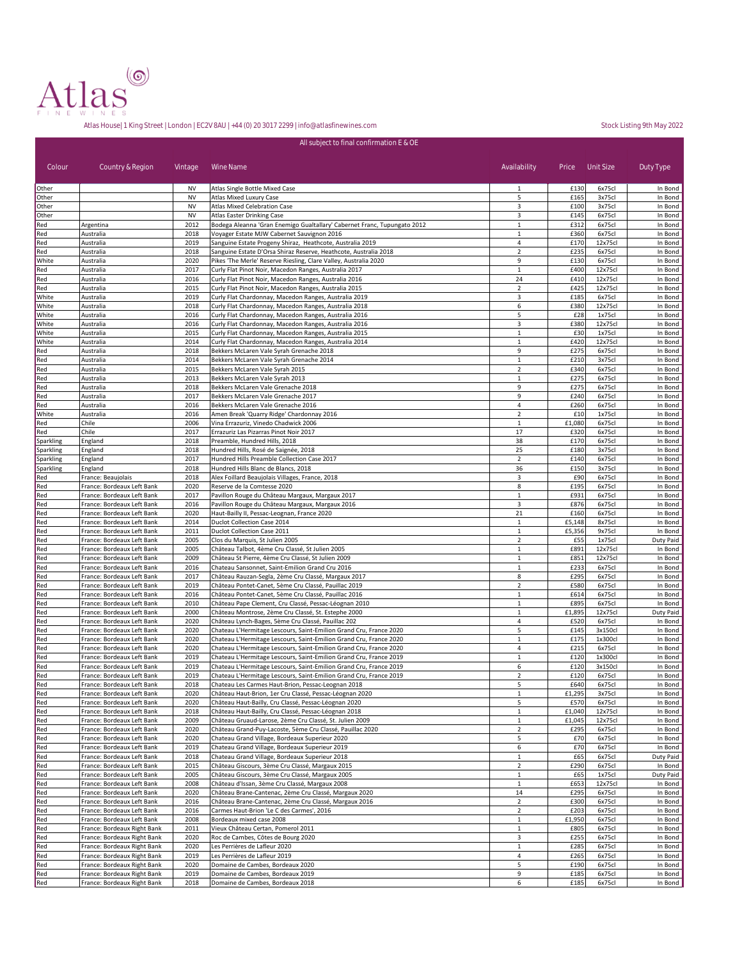

|                        |                                                           |                 | All subject to final confirmation E & OE                                                                                                 |                                |                |                  |                      |
|------------------------|-----------------------------------------------------------|-----------------|------------------------------------------------------------------------------------------------------------------------------------------|--------------------------------|----------------|------------------|----------------------|
|                        |                                                           |                 |                                                                                                                                          |                                |                |                  |                      |
| Colour                 | Country & Region                                          | Vintage         | Wine Name                                                                                                                                | Availability                   | Price          | Unit Size        | Duty Type            |
|                        |                                                           |                 |                                                                                                                                          |                                |                |                  |                      |
| Other<br>Other         |                                                           | <b>NV</b><br>NV | Atlas Single Bottle Mixed Case<br>Atlas Mixed Luxury Case                                                                                | 1<br>5                         | £130<br>£165   | 6x75cl<br>3x75cl | In Bond<br>In Bond   |
| Other                  |                                                           | <b>NV</b>       | <b>Atlas Mixed Celebration Case</b>                                                                                                      | 3                              | £100           | 3x75cl           | In Bond              |
| Other                  |                                                           | <b>NV</b>       | Atlas Easter Drinking Case                                                                                                               | 3                              | £145           | 6x75cl           | In Bond              |
| Red                    | Argentina                                                 | 2012            | Bodega Aleanna 'Gran Enemigo Gualtallary' Cabernet Franc, Tupungato 2012                                                                 | $\mathbf 1$                    | £312           | 6x75cl           | In Bond              |
| Red                    | Australia                                                 | 2018            | Voyager Estate MJW Cabernet Sauvignon 2016                                                                                               | $\,1\,$                        | £360           | 6x75cl           | In Bond              |
| Red<br>Red             | Australia<br>Australia                                    | 2019<br>2018    | Sanguine Estate Progeny Shiraz, Heathcote, Australia 2019<br>Sanguine Estate D'Orsa Shiraz Reserve, Heathcote, Australia 2018            | 4<br>$\mathbf 2$               | £170<br>£235   | 12x75c<br>6x75cl | In Bond<br>In Bond   |
| White                  | Australia                                                 | 2020            | Pikes 'The Merle' Reserve Riesling, Clare Valley, Australia 2020                                                                         | 9                              | £130           | 6x75cl           | In Bond              |
| Red                    | Australia                                                 | 2017            | Curly Flat Pinot Noir, Macedon Ranges, Australia 2017                                                                                    | $1\,$                          | £400           | 12x75cl          | In Bond              |
| Red                    | Australia                                                 | 2016            | Curly Flat Pinot Noir, Macedon Ranges, Australia 2016                                                                                    | 24                             | £410           | 12x75cl          | In Bond              |
| Red                    | Australia                                                 | 2015            | Curly Flat Pinot Noir, Macedon Ranges, Australia 2015                                                                                    | $\overline{2}$                 | £425           | 12x75c           | In Bond              |
| White                  | Australia                                                 | 2019            | Curly Flat Chardonnay, Macedon Ranges, Australia 2019                                                                                    | 3                              | £185           | 6x75cl           | In Bond              |
| White                  | Australia                                                 | 2018<br>2016    | Curly Flat Chardonnay, Macedon Ranges, Australia 2018<br>Curly Flat Chardonnay, Macedon Ranges, Australia 2016                           | 6<br>5                         | £380<br>£28    | 12x75c<br>1x75cl | In Bond<br>In Bond   |
| White<br>White         | Australia<br>Australia                                    | 2016            | Curly Flat Chardonnay, Macedon Ranges, Australia 2016                                                                                    | 3                              | £380           | 12x75cl          | In Bond              |
| White                  | Australia                                                 | 2015            | Curly Flat Chardonnay, Macedon Ranges, Australia 2015                                                                                    | $\mathbf{1}$                   | £30            | 1x75cl           | In Bond              |
| White                  | Australia                                                 | 2014            | Curly Flat Chardonnay, Macedon Ranges, Australia 2014                                                                                    | $\mathbf 1$                    | £420           | 12x75cl          | In Bond              |
| Red                    | Australia                                                 | 2018            | Bekkers McLaren Vale Syrah Grenache 2018                                                                                                 | 9                              | £275           | 6x75cl           | In Bond              |
| Red                    | Australia                                                 | 2014            | Bekkers McLaren Vale Syrah Grenache 2014                                                                                                 | $\mathbf 1$                    | £210           | 3x75cl           | In Bond              |
| Red                    | Australia                                                 | 2015            | Bekkers McLaren Vale Syrah 2015                                                                                                          | $\overline{2}$                 | £340           | 6x75cl           | In Bond              |
| Red<br>Red             | Australia<br>Australia                                    | 2013<br>2018    | Bekkers McLaren Vale Syrah 2013<br>Bekkers McLaren Vale Grenache 2018                                                                    | $\mathbf 1$<br>9               | £275<br>£275   | 6x75cl<br>6x75cl | In Bond<br>In Bond   |
| Red                    | Australia                                                 | 2017            | Bekkers McLaren Vale Grenache 2017                                                                                                       | 9                              | £240           | 6x75cl           | In Bond              |
| Red                    | Australia                                                 | 2016            | Bekkers McLaren Vale Grenache 2016                                                                                                       | 4                              | £260           | 6x75cl           | In Bond              |
| White                  | Australia                                                 | 2016            | Amen Break 'Quarry Ridge' Chardonnay 2016                                                                                                | $\overline{2}$                 | £10            | 1x75cl           | In Bond              |
| Red                    | Chile                                                     | 2006            | Vina Errazuriz, Vinedo Chadwick 2006                                                                                                     | $\mathbf{1}$                   | £1,080         | 6x75cl           | In Bond              |
| Red                    | Chile                                                     | 2017            | Errazuriz Las Pizarras Pinot Noir 2017                                                                                                   | 17                             | £320           | 6x75cl           | In Bond              |
| Sparkling<br>Sparkling | England<br>England                                        | 2018<br>2018    | Preamble, Hundred Hills, 2018<br>Hundred Hills, Rosé de Saignée, 2018                                                                    | 38<br>25                       | £170<br>£180   | 6x75cl<br>3x75cl | In Bond<br>In Bond   |
| Sparkling              | England                                                   | 2017            | Hundred Hills Preamble Collection Case 2017                                                                                              | $\overline{2}$                 | £140           | 6x75cl           | In Bond              |
| Sparkling              | England                                                   | 2018            | Hundred Hills Blanc de Blancs, 2018                                                                                                      | 36                             | £150           | 3x75cl           | In Bond              |
| Red                    | France: Beaujolais                                        | 2018            | Alex Foillard Beaujolais Villages, France, 2018                                                                                          | 3                              | £90            | 6x75cl           | In Bond              |
| Red                    | France: Bordeaux Left Bank                                | 2020            | Reserve de la Comtesse 2020                                                                                                              | 8                              | £195           | 6x75cl           | In Bond              |
| Red                    | France: Bordeaux Left Bank                                | 2017            | Pavillon Rouge du Château Margaux, Margaux 2017                                                                                          | $\,1\,$                        | £931           | 6x75cl           | In Bond              |
| Red<br>Red             | France: Bordeaux Left Bank                                | 2016<br>2020    | Pavillon Rouge du Château Margaux, Margaux 2016                                                                                          | 3<br>21                        | £876<br>£160   | 6x75cl<br>6x75cl | In Bond              |
| Red                    | France: Bordeaux Left Bank<br>France: Bordeaux Left Bank  | 2014            | Haut-Bailly II, Pessac-Leognan, France 2020<br>Duclot Collection Case 2014                                                               | $1\,$                          | £5,148         | 8x75cl           | In Bond<br>In Bond   |
| Red                    | France: Bordeaux Left Bank                                | 2011            | Duclot Collection Case 2011                                                                                                              | $\mathbf 1$                    | £5,356         | 9x75cl           | In Bond              |
| Red                    | France: Bordeaux Left Bank                                | 2005            | Clos du Marquis, St Julien 2005                                                                                                          | $\overline{\mathbf{2}}$        | £55            | 1x75cl           | Duty Paid            |
| Red                    | France: Bordeaux Left Bank                                | 2005            | Château Talbot, 4ème Cru Classé, St Julien 2005                                                                                          | $\,1\,$                        | £891           | 12x75c           | In Bond              |
| Red                    | France: Bordeaux Left Bank                                | 2009            | Château St Pierre, 4ème Cru Classé, St Julien 2009                                                                                       | $\mathbf 1$                    | £851           | 12x75cl          | In Bond              |
| Red<br>Red             | France: Bordeaux Left Bank<br>France: Bordeaux Left Bank  | 2016<br>2017    | Chateau Sansonnet, Saint-Emilion Grand Cru 2016<br>Château Rauzan-Segla, 2ème Cru Classé, Margaux 2017                                   | $\mathbf 1$<br>8               | £233<br>£295   | 6x75cl<br>6x75cl | In Bond<br>In Bond   |
| Red                    | France: Bordeaux Left Bank                                | 2019            | Château Pontet-Canet, 5ème Cru Classé, Pauillac 2019                                                                                     | $\overline{2}$                 | £580           | 6x75cl           | In Bond              |
| Red                    | France: Bordeaux Left Bank                                | 2016            | Château Pontet-Canet, 5ème Cru Classé, Pauillac 2016                                                                                     | $\mathbf{1}$                   | £614           | 6x75cl           | In Bond              |
| Red                    | France: Bordeaux Left Bank                                | 2010            | Château Pape Clement, Cru Classé, Pessac-Léognan 2010                                                                                    | $\mathbf{1}$                   | £895           | 6x75cl           | In Bond              |
| Red                    | France: Bordeaux Left Bank                                | 2000            | Château Montrose, 2ème Cru Classé, St. Estephe 2000                                                                                      | $\mathbf 1$                    | £1,895         | 12x75cl          | Duty Paid            |
| Red                    | France: Bordeaux Left Bank                                | 2020            | Château Lynch-Bages, 5ème Cru Classé, Pauillac 202                                                                                       | $\overline{4}$                 | £520           | 6x75cl           | In Bond              |
| Red<br>Red             | France: Bordeaux Left Bank<br>France: Bordeaux Left Bank  | 2020<br>2020    | Chateau L'Hermitage Lescours, Saint-Emilion Grand Cru, France 2020<br>Chateau L'Hermitage Lescours, Saint-Emilion Grand Cru, France 2020 | 5<br>$\mathbf{1}$              | £145<br>£175   | 3x150c<br>1x300c | In Bond<br>In Bond   |
| Red                    | France: Bordeaux Left Bank                                | 2020            | Chateau L'Hermitage Lescours, Saint-Emilion Grand Cru, France 2020                                                                       | 4                              | £215           | 6x75cl           | In Bond              |
| Red                    | France: Bordeaux Left Bank                                | 2019            | Chateau L'Hermitage Lescours, Saint-Emilion Grand Cru, France 2019                                                                       | $\mathbf{1}$                   | £120           | 1x300c           | In Bond              |
| Red                    | France: Bordeaux Left Bank                                | 2019            | Chateau L'Hermitage Lescours, Saint-Emilion Grand Cru, France 2019                                                                       | 6                              | £120           | 3x150c           | In Bond              |
| Red                    | France: Bordeaux Left Bank                                | 2019            | Chateau L'Hermitage Lescours, Saint-Emilion Grand Cru, France 2019                                                                       | $\overline{2}$                 | £120           | 6x75cl           | In Bond              |
| кеа                    | France: Bordeaux Left Bank                                | 2018            | Chateau Les Carmes Haut-Brion, Pessac-Leognan 2018                                                                                       | э                              | £640           | <b>PX</b>        | in Bond              |
| Red<br>Red             | France: Bordeaux Left Bank<br>France: Bordeaux Left Bank  | 2020<br>2020    | Château Haut-Brion, 1er Cru Classé, Pessac-Léognan 2020<br>Château Haut-Bailly, Cru Classé, Pessac-Léognan 2020                          | $1\,$<br>5                     | £1,295<br>£570 | 3x75cl<br>6x75cl | In Bond<br>In Bond   |
| Red                    | France: Bordeaux Left Bank                                | 2018            | Château Haut-Bailly, Cru Classé, Pessac-Léognan 2018                                                                                     | $\mathbf{1}$                   | £1,040         | 12x75cl          | In Bond              |
| Red                    | France: Bordeaux Left Bank                                | 2009            | Château Gruaud-Larose, 2ème Cru Classé, St. Julien 2009                                                                                  | $\mathbf{1}$                   | £1,045         | 12x75cl          | In Bond              |
| Red                    | France: Bordeaux Left Bank                                | 2020            | Château Grand-Puy-Lacoste, 5ème Cru Classé, Pauillac 2020                                                                                | $\overline{2}$                 | £295           | 6x75cl           | In Bond              |
| Red                    | France: Bordeaux Left Bank                                | 2020            | Chateau Grand Village, Bordeaux Superieur 2020                                                                                           | 5                              | £70            | 6x75cl           | In Bond              |
| Red                    | France: Bordeaux Left Bank                                | 2019            | Chateau Grand Village, Bordeaux Superieur 2019                                                                                           | 6                              | £70            | 6x75cl           | In Bond              |
| Red<br>Red             | France: Bordeaux Left Bank<br>France: Bordeaux Left Bank  | 2018<br>2015    | Chateau Grand Village, Bordeaux Superieur 2018<br>Château Giscours, 3ème Cru Classé, Margaux 2015                                        | $\mathbf{1}$<br>$\overline{2}$ | £65<br>£290    | 6x75cl<br>6x75cl | Duty Paid<br>In Bond |
| Red                    | France: Bordeaux Left Bank                                | 2005            | Château Giscours, 3ème Cru Classé, Margaux 2005                                                                                          | $1\,$                          | £65            | 1x75cl           | Duty Paid            |
| Red                    | France: Bordeaux Left Bank                                | 2008            | Château d'Issan, 3ème Cru Classé, Margaux 2008                                                                                           | $\mathbf{1}$                   | £653           | 12x75cl          | In Bond              |
| Red                    | France: Bordeaux Left Bank                                | 2020            | Château Brane-Cantenac, 2ème Cru Classé, Margaux 2020                                                                                    | 14                             | £295           | 6x75cl           | In Bond              |
| Red                    | France: Bordeaux Left Bank                                | 2016            | Château Brane-Cantenac, 2ème Cru Classé, Margaux 2016                                                                                    | $\overline{2}$                 | £300           | 6x75cl           | In Bond              |
| Red                    | France: Bordeaux Left Bank                                | 2016            | Carmes Haut-Brion 'Le C des Carmes', 2016                                                                                                | $\overline{2}$                 | £203           | 6x75cl           | In Bond              |
| Red<br>Red             | France: Bordeaux Left Bank<br>France: Bordeaux Right Bank | 2008<br>2011    | Bordeaux mixed case 2008<br>Vieux Château Certan, Pomerol 2011                                                                           | $\mathbf{1}$<br>$\mathbf{1}$   | £1,950<br>£805 | 6x75cl<br>6x75cl | In Bond<br>In Bond   |
| Red                    | France: Bordeaux Right Bank                               | 2020            | Roc de Cambes, Côtes de Bourg 2020                                                                                                       | 3                              | £255           | 6x75cl           | In Bond              |
| Red                    | France: Bordeaux Right Bank                               | 2020            | Les Perrières de Lafleur 2020                                                                                                            | $\mathbf{1}$                   | £285           | 6x75cl           | In Bond              |
| Red                    | France: Bordeaux Right Bank                               | 2019            | Les Perrières de Lafleur 2019                                                                                                            | 4                              | £265           | 6x75cl           | In Bond              |
| Red                    | France: Bordeaux Right Bank                               | 2020            | Domaine de Cambes, Bordeaux 2020                                                                                                         | 5                              | £190           | 6x75cl           | In Bond              |
| Red                    | France: Bordeaux Right Bank                               | 2019            | Domaine de Cambes, Bordeaux 2019                                                                                                         | 9                              | £185           | 6x75cl           | In Bond              |
| Red                    | France: Bordeaux Right Bank                               | 2018            | Domaine de Cambes, Bordeaux 2018                                                                                                         | 6                              | £185           | 6x75cl           | In Bond              |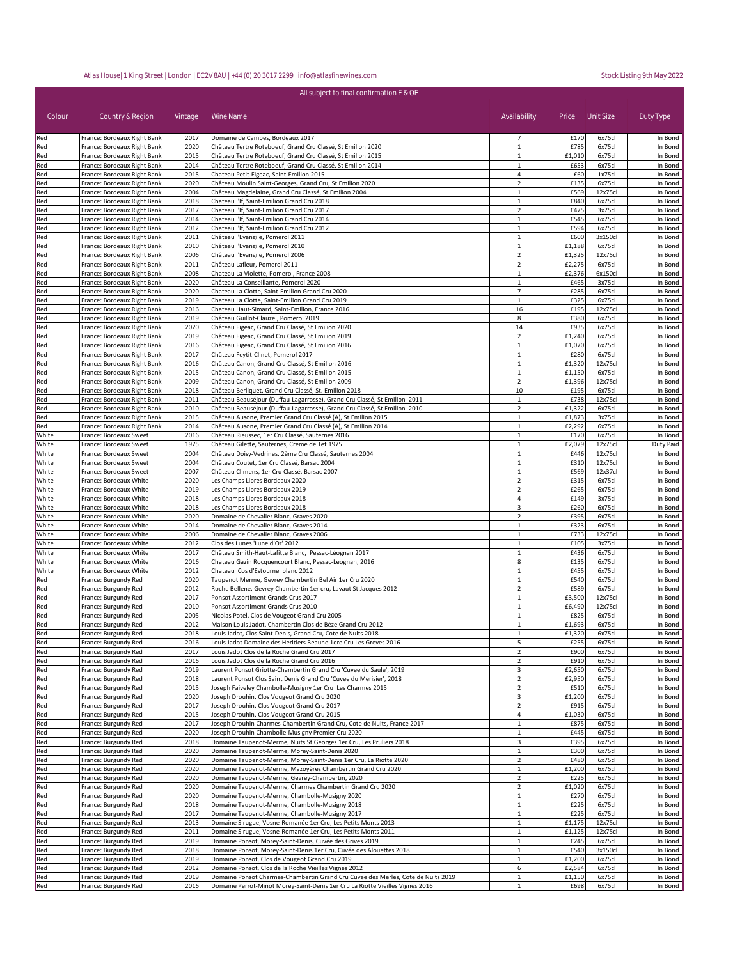| All subject to final confirmation E & OE |                                                            |              |                                                                                                                |                                |                  |                    |                    |  |
|------------------------------------------|------------------------------------------------------------|--------------|----------------------------------------------------------------------------------------------------------------|--------------------------------|------------------|--------------------|--------------------|--|
| Colour                                   | Country & Region                                           | Vintage      | Wine Name                                                                                                      | Availability                   | Price            | Unit Size          | Duty Type          |  |
| Red                                      | France: Bordeaux Right Bank                                | 2017         | Domaine de Cambes, Bordeaux 2017                                                                               | 7                              | £170             | 6x75cl             | In Bond            |  |
| Red                                      | France: Bordeaux Right Bank                                | 2020         | Château Tertre Roteboeuf, Grand Cru Classé, St Emilion 2020                                                    | 1                              | £785             | 6x75cl             | In Bond            |  |
| Red                                      | France: Bordeaux Right Bank                                | 2015         | Château Tertre Roteboeuf, Grand Cru Classé, St Emilion 2015                                                    | 1                              | £1,010           | 6x75cl             | In Bond            |  |
| Red<br>Red                               | France: Bordeaux Right Bank<br>France: Bordeaux Right Bank | 2014<br>2015 | Château Tertre Roteboeuf, Grand Cru Classé, St Emilion 2014<br>Chateau Petit-Figeac, Saint-Emilion 2015        | 1<br>$\overline{4}$            | £653<br>£60      | 6x75cl<br>1x75cl   | In Bond<br>In Bond |  |
| Red                                      | France: Bordeaux Right Bank                                | 2020         | Château Moulin Saint-Georges, Grand Cru, St Emilion 2020                                                       | $\overline{2}$                 | £135             | 6x75cl             | In Bond            |  |
| Red                                      | France: Bordeaux Right Bank                                | 2004         | Château Magdelaine, Grand Cru Classé, St Emilion 2004                                                          | $\mathbf{1}$                   | £569             | 12x75cl            | In Bond            |  |
| Red                                      | France: Bordeaux Right Bank                                | 2018         | Chateau l'If, Saint-Emilion Grand Cru 2018                                                                     | $\mathbf{1}$                   | £840             | 6x75cl             | In Bond            |  |
| Red                                      | France: Bordeaux Right Bank                                | 2017         | Chateau l'If, Saint-Emilion Grand Cru 2017                                                                     | $\overline{2}$                 | £475             | 3x75cl             | In Bond            |  |
| Red                                      | France: Bordeaux Right Bank                                | 2014         | Chateau l'If, Saint-Emilion Grand Cru 2014                                                                     | $\mathbf{1}$                   | £545             | 6x75cl             | In Bond            |  |
| Red                                      | France: Bordeaux Right Bank                                | 2012         | Chateau l'If, Saint-Emilion Grand Cru 2012                                                                     | $\mathbf{1}$                   | £594             | 6x75cl             | In Bond            |  |
| Red                                      | France: Bordeaux Right Bank                                | 2011<br>2010 | Château l'Evangile, Pomerol 2011                                                                               | $\mathbf{1}$<br>$\mathbf{1}$   | £600             | 3x150cl            | In Bond            |  |
| Red<br>Red                               | France: Bordeaux Right Bank<br>France: Bordeaux Right Bank | 2006         | Château l'Evangile, Pomerol 2010<br>Château l'Evangile, Pomerol 2006                                           | $\overline{2}$                 | £1,188<br>£1,325 | 6x75cl<br>12x75cl  | In Bond<br>In Bond |  |
| Red                                      | France: Bordeaux Right Bank                                | 2011         | Château Lafleur, Pomerol 2011                                                                                  | $\overline{2}$                 | £2,275           | 6x75cl             | In Bond            |  |
| Red                                      | France: Bordeaux Right Bank                                | 2008         | Chateau La Violette, Pomerol, France 2008                                                                      | $\mathbf{1}$                   | £2,376           | 6x150cl            | In Bond            |  |
| Red                                      | France: Bordeaux Right Bank                                | 2020         | Château La Conseillante, Pomerol 2020                                                                          | $\mathbf{1}$                   | £465             | 3x75cl             | In Bond            |  |
| Red                                      | France: Bordeaux Right Bank                                | 2020         | Chateau La Clotte, Saint-Emilion Grand Cru 2020                                                                | $\overline{7}$                 | £285             | 6x75cl             | In Bond            |  |
| Red                                      | France: Bordeaux Right Bank                                | 2019         | Chateau La Clotte, Saint-Emilion Grand Cru 2019                                                                | $\mathbf{1}$                   | £325             | 6x75cl             | In Bond            |  |
| Red<br>Red                               | France: Bordeaux Right Bank<br>France: Bordeaux Right Bank | 2016<br>2019 | Chateau Haut-Simard, Saint-Emilion, France 2016<br>Château Guillot-Clauzel, Pomerol 2019                       | 16<br>8                        | £195<br>£380     | 12x75cl<br>6x75cl  | In Bond<br>In Bond |  |
| Red                                      | France: Bordeaux Right Bank                                | 2020         | Château Figeac, Grand Cru Classé, St Emilion 2020                                                              | 14                             | £935             | 6x75cl             | In Bond            |  |
| Red                                      | France: Bordeaux Right Bank                                | 2019         | Château Figeac, Grand Cru Classé, St Emilion 2019                                                              | $\overline{2}$                 | £1,240           | 6x75cl             | In Bond            |  |
| Red                                      | France: Bordeaux Right Bank                                | 2016         | Château Figeac, Grand Cru Classé, St Emilion 2016                                                              | $\mathbf{1}$                   | £1,070           | 6x75cl             | In Bond            |  |
| Red                                      | France: Bordeaux Right Bank                                | 2017         | Château Feytit-Clinet, Pomerol 2017                                                                            | 1                              | £280             | 6x75cl             | In Bond            |  |
| Red                                      | France: Bordeaux Right Bank                                | 2016         | Château Canon, Grand Cru Classé, St Emilion 2016                                                               | $\mathbf{1}$                   | £1,320           | 12x75cl            | In Bond            |  |
| Red                                      | France: Bordeaux Right Bank                                | 2015         | Château Canon, Grand Cru Classé, St Emilion 2015                                                               | 1                              | £1,150           | 6x75cl             | In Bond            |  |
| Red                                      | France: Bordeaux Right Bank                                | 2009         | Château Canon, Grand Cru Classé, St Emilion 2009<br>Château Berliquet, Grand Cru Classé, St. Emilion 2018      | $\mathbf 2$                    | £1,396<br>£195   | 12x75cl            | In Bond            |  |
| Red<br>Red                               | France: Bordeaux Right Bank<br>France: Bordeaux Right Bank | 2018<br>2011 | Château Beauséjour (Duffau-Lagarrosse), Grand Cru Classé, St Emilion 2011                                      | 10<br>$\mathbf 1$              | £738             | 6x75cl<br>12x75cl  | In Bond<br>In Bond |  |
| Red                                      | France: Bordeaux Right Bank                                | 2010         | Château Beauséjour (Duffau-Lagarrosse), Grand Cru Classé, St Emilion 2010                                      | $\overline{2}$                 | £1,322           | 6x75cl             | In Bond            |  |
| Red                                      | France: Bordeaux Right Bank                                | 2015         | Château Ausone, Premier Grand Cru Classé (A), St Emilion 2015                                                  | $\mathbf{1}$                   | £1,873           | 3x75cl             | In Bond            |  |
| Red                                      | France: Bordeaux Right Bank                                | 2014         | Château Ausone, Premier Grand Cru Classé (A), St Emilion 2014                                                  | $\mathbf{1}$                   | £2,292           | 6x75cl             | In Bond            |  |
| White                                    | France: Bordeaux Sweet                                     | 2016         | Château Rieussec, 1er Cru Classé, Sauternes 2016                                                               | $\mathbf{1}$                   | £170             | 6x75cl             | In Bond            |  |
| White                                    | France: Bordeaux Sweet                                     | 1975         | Château Gilette, Sauternes, Creme de Tet 1975                                                                  | $\mathbf{1}$                   | £2,079           | 12x75cl            | Duty Paid          |  |
| White                                    | France: Bordeaux Sweet                                     | 2004         | Château Doisy-Vedrines, 2ème Cru Classé, Sauternes 2004                                                        | $\mathbf{1}$                   | £446             | 12x75cl            | In Bond            |  |
| White<br>White                           | France: Bordeaux Sweet<br>France: Bordeaux Sweet           | 2004<br>2007 | Château Coutet, 1er Cru Classé, Barsac 2004<br>Château Climens, 1er Cru Classé, Barsac 2007                    | $\mathbf{1}$<br>$\mathbf{1}$   | £310<br>£569     | 12x75cl<br>12x37cl | In Bond<br>In Bond |  |
| White                                    | France: Bordeaux White                                     | 2020         | Les Champs Libres Bordeaux 2020                                                                                | $\overline{2}$                 | £315             | 6x75cl             | In Bond            |  |
| White                                    | France: Bordeaux White                                     | 2019         | Les Champs Libres Bordeaux 2019                                                                                | $\overline{2}$                 | £265             | 6x75cl             | In Bond            |  |
| White                                    | France: Bordeaux White                                     | 2018         | Les Champs Libres Bordeaux 2018                                                                                | 4                              | £149             | 3x75cl             | In Bond            |  |
| White                                    | France: Bordeaux White                                     | 2018         | Les Champs Libres Bordeaux 2018                                                                                | 3                              | £260             | 6x75cl             | In Bond            |  |
| White                                    | France: Bordeaux White                                     | 2020         | Domaine de Chevalier Blanc, Graves 2020                                                                        | $\overline{2}$                 | £395             | 6x75cl             | In Bond            |  |
| White                                    | France: Bordeaux White                                     | 2014         | Domaine de Chevalier Blanc, Graves 2014                                                                        | $\mathbf{1}$                   | £323             | 6x75cl             | In Bond            |  |
| White<br>White                           | France: Bordeaux White                                     | 2006<br>2012 | Domaine de Chevalier Blanc, Graves 2006<br>Clos des Lunes 'Lune d'Or' 2012                                     | $\mathbf{1}$<br>$\mathbf{1}$   | £733<br>£105     | 12x75cl<br>3x75cl  | In Bond<br>In Bond |  |
| White                                    | France: Bordeaux White<br>France: Bordeaux White           | 2017         | Château Smith-Haut-Lafitte Blanc, Pessac-Léognan 2017                                                          | $1\,$                          | £436             | 6x75cl             | In Bond            |  |
| White                                    | France: Bordeaux White                                     | 2016         | Chateau Gazin Rocquencourt Blanc, Pessac-Leognan, 2016                                                         | 8                              | £135             | 6x75cl             | In Bond            |  |
| White                                    | France: Bordeaux White                                     | 2012         | Chateau Cos d'Estournel blanc 2012                                                                             | $\mathbf 1$                    | £455             | 6x75cl             | In Bond            |  |
| Red                                      | France: Burgundy Red                                       | 2020         | Taupenot Merme, Gevrey Chambertin Bel Air 1er Cru 2020                                                         | $\mathbf{1}$                   | £540             | 6x75cl             | In Bond            |  |
| Red                                      | France: Burgundy Red                                       | 2012         | Roche Bellene, Gevrey Chambertin 1er cru, Lavaut St Jacques 2012                                               | $\overline{2}$                 | £589             | 6x75cl             | In Bond            |  |
| Red                                      | France: Burgundy Red                                       | 2017         | Ponsot Assortiment Grands Crus 2017                                                                            | 1                              | £3,500           | 12x75cl            | In Bond            |  |
| Red                                      | France: Burgundy Red                                       | 2010         | Ponsot Assortiment Grands Crus 2010                                                                            | $1\,$                          | £6,490           | 12x75cl            | In Bond            |  |
| Red<br>Red                               | France: Burgundy Red<br>France: Burgundy Red               | 2005<br>2012 | Nicolas Potel, Clos de Vougeot Grand Cru 2005<br>Maison Louis Jadot, Chambertin Clos de Bèze Grand Cru 2012    | $1\,$<br>$\mathbf{1}$          | £825<br>£1,693   | 6x75cl<br>6x75cl   | In Bond<br>In Bond |  |
| Red                                      | France: Burgundy Red                                       | 2018         | Louis Jadot, Clos Saint-Denis, Grand Cru, Cote de Nuits 2018                                                   | $\mathbf{1}$                   | £1,320           | 6x75cl             | In Bond            |  |
| Red                                      | France: Burgundy Red                                       | 2016         | Louis Jadot Domaine des Heritiers Beaune 1ere Cru Les Greves 2016                                              | 5                              | £255             | 6x75cl             | In Bond            |  |
| Red                                      | France: Burgundy Red                                       | 2017         | Louis Jadot Clos de la Roche Grand Cru 2017                                                                    | $\overline{2}$                 | £900             | 6x75cl             | In Bond            |  |
| Red                                      | France: Burgundy Red                                       | 2016         | Louis Jadot Clos de la Roche Grand Cru 2016                                                                    | $\overline{2}$                 | £910             | 6x75cl             | In Bond            |  |
| Red                                      | France: Burgundy Red                                       | 2019         | Laurent Ponsot Griotte-Chambertin Grand Cru 'Cuvee du Saule', 2019                                             | 3                              | £2,650           | 6x75cl             | In Bond            |  |
| Red                                      | France: Burgundy Red                                       | 2018         | Laurent Ponsot Clos Saint Denis Grand Cru 'Cuvee du Merisier', 2018                                            | $\overline{2}$                 | £2,950           | 6x75cl             | In Bond            |  |
| Red                                      | France: Burgundy Red<br>France: Burgundy Red               | 2015<br>2020 | Joseph Faiveley Chambolle-Musigny 1er Cru Les Charmes 2015<br>Joseph Drouhin, Clos Vougeot Grand Cru 2020      | $\overline{2}$<br>3            | £510<br>£1,200   | 6x75cl<br>6x75cl   | In Bond<br>In Bond |  |
| Red<br>Red                               | France: Burgundy Red                                       | 2017         | Joseph Drouhin, Clos Vougeot Grand Cru 2017                                                                    | $\overline{2}$                 | £915             | 6x75cl             | In Bond            |  |
| Red                                      | France: Burgundy Red                                       | 2015         | Joseph Drouhin, Clos Vougeot Grand Cru 2015                                                                    | 4                              | £1,030           | 6x75cl             | In Bond            |  |
| Red                                      | France: Burgundy Red                                       | 2017         | Joseph Drouhin Charmes-Chambertin Grand Cru, Cote de Nuits, France 2017                                        | $\mathbf{1}$                   | £875             | 6x75cl             | In Bond            |  |
| Red                                      | France: Burgundy Red                                       | 2020         | Joseph Drouhin Chambolle-Musigny Premier Cru 2020                                                              | $\mathbf{1}$                   | £445             | 6x75cl             | In Bond            |  |
| Red                                      | France: Burgundy Red                                       | 2018         | Domaine Taupenot-Merme, Nuits St Georges 1er Cru, Les Pruliers 2018                                            | 3                              | £395             | 6x75cl             | In Bond            |  |
| Red                                      | France: Burgundy Red                                       | 2020         | Domaine Taupenot-Merme, Morey-Saint-Denis 2020                                                                 | $\mathbf{1}$                   | £300             | 6x75cl             | In Bond            |  |
| Red                                      | France: Burgundy Red                                       | 2020         | Domaine Taupenot-Merme, Morey-Saint-Denis 1er Cru, La Riotte 2020                                              | $\overline{2}$                 | £480             | 6x75cl             | In Bond            |  |
| Red<br>Red                               | France: Burgundy Red<br>France: Burgundy Red               | 2020<br>2020 | Domaine Taupenot-Merme, Mazoyères Chambertin Grand Cru 2020<br>Domaine Taupenot-Merme, Gevrey-Chambertin, 2020 | $\mathbf{1}$<br>$\overline{2}$ | £1,200<br>£225   | 6x75cl<br>6x75cl   | In Bond<br>In Bond |  |
| Red                                      | France: Burgundy Red                                       | 2020         | Domaine Taupenot-Merme, Charmes Chambertin Grand Cru 2020                                                      | $\overline{2}$                 | £1,020           | 6x75cl             | In Bond            |  |
| Red                                      | France: Burgundy Red                                       | 2020         | Domaine Taupenot-Merme, Chambolle-Musigny 2020                                                                 | $\mathbf 1$                    | £270             | 6x75cl             | In Bond            |  |
| Red                                      | France: Burgundy Red                                       | 2018         | Domaine Taupenot-Merme, Chambolle-Musigny 2018                                                                 | $\mathbf{1}$                   | £225             | 6x75cl             | In Bond            |  |
| Red                                      | France: Burgundy Red                                       | 2017         | Domaine Taupenot-Merme, Chambolle-Musigny 2017                                                                 | $\mathbf{1}$                   | £225             | 6x75cl             | In Bond            |  |
| Red                                      | France: Burgundy Red                                       | 2013         | Domaine Sirugue, Vosne-Romanée 1er Cru, Les Petits Monts 2013                                                  | $\mathbf{1}$                   | £1,175           | 12x75cl            | In Bond            |  |
| Red                                      | France: Burgundy Red                                       | 2011         | Domaine Sirugue, Vosne-Romanée 1er Cru, Les Petits Monts 2011                                                  | 1                              | £1,125           | 12x75cl            | In Bond            |  |
| Red                                      | France: Burgundy Red                                       | 2019         | Domaine Ponsot, Morey-Saint-Denis, Cuvée des Grives 2019                                                       | $\mathbf{1}$                   | £245             | 6x75cl             | In Bond            |  |
| Red                                      | France: Burgundy Red                                       | 2018         | Domaine Ponsot, Morey-Saint-Denis 1er Cru, Cuvée des Alouettes 2018                                            | $\mathbf{1}$                   | £540             | 3x150cl            | In Bond            |  |
| Red<br>Red                               | France: Burgundy Red<br>France: Burgundy Red               | 2019<br>2012 | Domaine Ponsot, Clos de Vougeot Grand Cru 2019<br>Domaine Ponsot, Clos de la Roche Vieilles Vignes 2012        | $\mathbf{1}$<br>6              | £1,200<br>£2,584 | 6x75cl<br>6x75cl   | In Bond<br>In Bond |  |
| Red                                      | France: Burgundy Red                                       | 2019         | Domaine Ponsot Charmes-Chambertin Grand Cru Cuvee des Merles, Cote de Nuits 2019                               | $\mathbf{1}$                   | £1,150           | 6x75cl             | In Bond            |  |
| Red                                      | France: Burgundy Red                                       | 2016         | Domaine Perrot-Minot Morey-Saint-Denis 1er Cru La Riotte Vieilles Vignes 2016                                  | $\mathbf{1}$                   | £698             | 6x75cl             | In Bond            |  |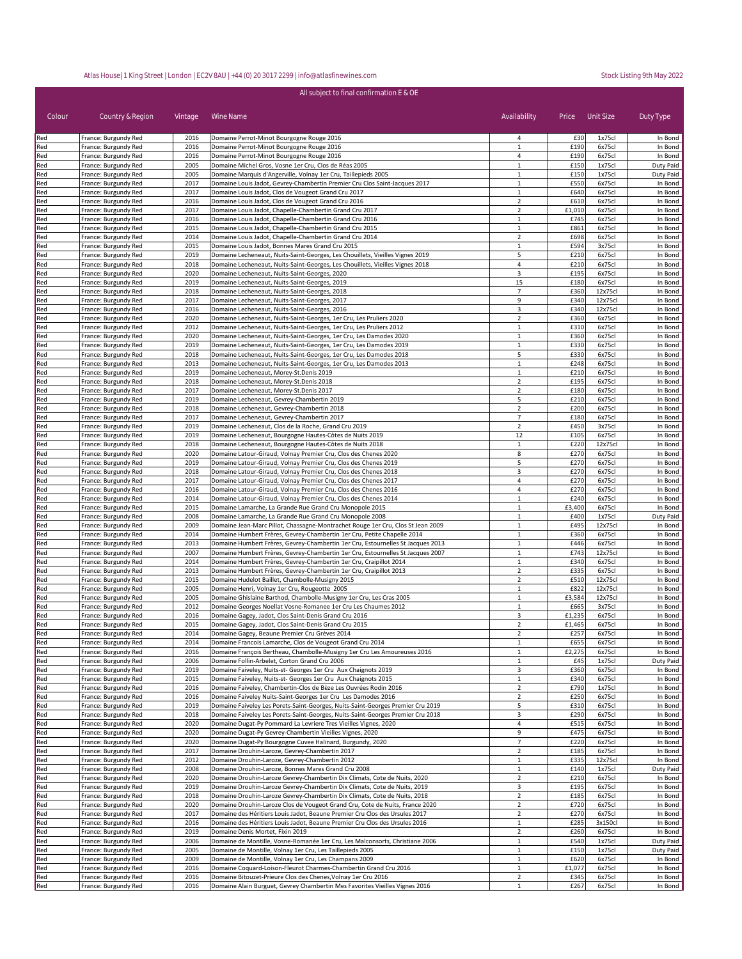| All subject to final confirmation E & OE |                                              |              |                                                                                                                                                                    |                                  |                |                    |                      |
|------------------------------------------|----------------------------------------------|--------------|--------------------------------------------------------------------------------------------------------------------------------------------------------------------|----------------------------------|----------------|--------------------|----------------------|
| Colour                                   | Country & Region                             | Vintage      | Wine Name                                                                                                                                                          | Availability                     |                | Price Unit Size    | Duty Type            |
| Red                                      | France: Burgundy Red                         | 2016         | Domaine Perrot-Minot Bourgogne Rouge 2016                                                                                                                          | 4                                | £30            | 1x75cl             | In Bond              |
| Red                                      | France: Burgundy Red                         | 2016         | Domaine Perrot-Minot Bourgogne Rouge 2016                                                                                                                          | $\mathbf 1$                      | £190           | 6x75cl             | In Bond              |
| Red<br>Red                               | France: Burgundy Red<br>France: Burgundy Red | 2016<br>2005 | Domaine Perrot-Minot Bourgogne Rouge 2016<br>Domaine Michel Gros, Vosne 1er Cru, Clos de Réas 2005                                                                 | 4<br>$\mathbf{1}$                | £190<br>£150   | 6x75cl<br>1x75cl   | In Bond<br>Duty Paid |
| Red                                      | France: Burgundy Red                         | 2005         | Domaine Marquis d'Angerville, Volnay 1er Cru, Taillepieds 2005                                                                                                     | 1                                | £150           | 1x75cl             | Duty Paid            |
| Red                                      | France: Burgundy Red                         | 2017         | Domaine Louis Jadot, Gevrey-Chambertin Premier Cru Clos Saint-Jacques 2017                                                                                         | $\mathbf{1}$                     | £550           | 6x75cl             | In Bond              |
| Red                                      | France: Burgundy Red                         | 2017         | Domaine Louis Jadot, Clos de Vougeot Grand Cru 2017                                                                                                                | 1                                | £640           | 6x75cl             | In Bond              |
| Red                                      | France: Burgundy Red<br>France: Burgundy Red | 2016<br>2017 | Domaine Louis Jadot, Clos de Vougeot Grand Cru 2016<br>Domaine Louis Jadot, Chapelle-Chambertin Grand Cru 2017                                                     | $\overline{2}$<br>$\overline{2}$ | £610<br>£1,010 | 6x75cl<br>6x75cl   | In Bond              |
| Red<br>Red                               | France: Burgundy Red                         | 2016         | Domaine Louis Jadot, Chapelle-Chambertin Grand Cru 2016                                                                                                            | $\mathbf{1}$                     | £745           | 6x75cl             | In Bond<br>In Bond   |
| Red                                      | France: Burgundy Red                         | 2015         | Domaine Louis Jadot, Chapelle-Chambertin Grand Cru 2015                                                                                                            | $\mathbf{1}$                     | £861           | 6x75cl             | In Bond              |
| Red                                      | France: Burgundy Red                         | 2014         | Domaine Louis Jadot, Chapelle-Chambertin Grand Cru 2014                                                                                                            | $\overline{2}$                   | £698           | 6x75cl             | In Bond              |
| Red                                      | France: Burgundy Red                         | 2015         | Domaine Louis Jadot, Bonnes Mares Grand Cru 2015                                                                                                                   | $\mathbf{1}$                     | £594           | 3x75cl             | In Bond              |
| Red<br>Red                               | France: Burgundy Red<br>France: Burgundy Red | 2019<br>2018 | Domaine Lecheneaut, Nuits-Saint-Georges, Les Chouillets, Vieilles Vignes 2019<br>Domaine Lecheneaut, Nuits-Saint-Georges, Les Chouillets, Vieilles Vignes 2018     | 5<br>4                           | £210<br>£210   | 6x75cl<br>6x75cl   | In Bond<br>In Bond   |
| Red                                      | France: Burgundy Red                         | 2020         | Domaine Lecheneaut, Nuits-Saint-Georges, 2020                                                                                                                      | 3                                | £195           | 6x75cl             | In Bond              |
| Red                                      | France: Burgundy Red                         | 2019         | Domaine Lecheneaut, Nuits-Saint-Georges, 2019                                                                                                                      | 15                               | £180           | 6x75cl             | In Bond              |
| Red                                      | France: Burgundy Red                         | 2018         | Domaine Lecheneaut, Nuits-Saint-Georges, 2018                                                                                                                      | $\overline{7}$                   | £360           | 12x75cl            | In Bond              |
| Red                                      | France: Burgundy Red                         | 2017         | Domaine Lecheneaut, Nuits-Saint-Georges, 2017                                                                                                                      | 9                                | £340           | 12x75cl            | In Bond              |
| Red<br>Red                               | France: Burgundy Red<br>France: Burgundy Red | 2016<br>2020 | Domaine Lecheneaut, Nuits-Saint-Georges, 2016<br>Domaine Lecheneaut, Nuits-Saint-Georges, 1er Cru, Les Pruliers 2020                                               | 3<br>$\overline{2}$              | £340<br>£360   | 12x75cl<br>6x75cl  | In Bond<br>In Bond   |
| Red                                      | France: Burgundy Red                         | 2012         | Domaine Lecheneaut, Nuits-Saint-Georges, 1er Cru, Les Pruliers 2012                                                                                                | $\mathbf{1}$                     | £310           | 6x75cl             | In Bond              |
| Red                                      | France: Burgundy Red                         | 2020         | Domaine Lecheneaut, Nuits-Saint-Georges, 1er Cru, Les Damodes 2020                                                                                                 | $\mathbf{1}$                     | £360           | 6x75cl             | In Bond              |
| Red                                      | France: Burgundy Red                         | 2019         | Domaine Lecheneaut, Nuits-Saint-Georges, 1er Cru, Les Damodes 2019                                                                                                 | $\mathbf{1}$                     | £330           | 6x75cl             | In Bond              |
| Red                                      | France: Burgundy Red                         | 2018         | Domaine Lecheneaut, Nuits-Saint-Georges, 1er Cru, Les Damodes 2018                                                                                                 | 5                                | £330           | 6x75cl             | In Bond              |
| Red<br>Red                               | France: Burgundy Red<br>France: Burgundy Red | 2013<br>2019 | Domaine Lecheneaut, Nuits-Saint-Georges, 1er Cru, Les Damodes 2013<br>Domaine Lecheneaut, Morey-St.Denis 2019                                                      | $\mathbf{1}$<br>$\mathbf{1}$     | £248<br>£210   | 6x75cl<br>6x75cl   | In Bond<br>In Bond   |
| Red                                      | France: Burgundy Red                         | 2018         | Domaine Lecheneaut, Morey-St.Denis 2018                                                                                                                            | $\overline{2}$                   | £195           | 6x75cl             | In Bond              |
| Red                                      | France: Burgundy Red                         | 2017         | Domaine Lecheneaut, Morey-St.Denis 2017                                                                                                                            | $\mathbf 2$                      | £180           | 6x75cl             | In Bond              |
| Red                                      | France: Burgundy Red                         | 2019         | Domaine Lecheneaut, Gevrey-Chambertin 2019                                                                                                                         | 5                                | £210           | 6x75cl             | In Bond              |
| Red                                      | France: Burgundy Red                         | 2018         | Domaine Lecheneaut, Gevrey-Chambertin 2018                                                                                                                         | $\overline{2}$                   | £200           | 6x75cl             | In Bond              |
| Red                                      | France: Burgundy Red                         | 2017         | Domaine Lecheneaut, Gevrey-Chambertin 2017<br>Domaine Lecheneaut, Clos de la Roche, Grand Cru 2019                                                                 | 7                                | £180           | 6x75cl             | In Bond              |
| Red<br>Red                               | France: Burgundy Red<br>France: Burgundy Red | 2019<br>2019 | Domaine Lecheneaut, Bourgogne Hautes-Côtes de Nuits 2019                                                                                                           | $\mathbf 2$<br>12                | £450<br>£105   | 3x75cl<br>6x75cl   | In Bond<br>In Bond   |
| Red                                      | France: Burgundy Red                         | 2018         | Domaine Lecheneaut, Bourgogne Hautes-Côtes de Nuits 2018                                                                                                           | $\mathbf{1}$                     | £220           | 12x75cl            | In Bond              |
| Red                                      | France: Burgundy Red                         | 2020         | Domaine Latour-Giraud, Volnay Premier Cru, Clos des Chenes 2020                                                                                                    | 8                                | £270           | 6x75cl             | In Bond              |
| Red                                      | France: Burgundy Red                         | 2019         | Domaine Latour-Giraud, Volnay Premier Cru, Clos des Chenes 2019                                                                                                    | 5                                | £270           | 6x75cl             | In Bond              |
| Red                                      | France: Burgundy Red                         | 2018         | Domaine Latour-Giraud, Volnay Premier Cru, Clos des Chenes 2018                                                                                                    | 3                                | £270           | 6x75cl             | In Bond              |
| Red<br>Red                               | France: Burgundy Red<br>France: Burgundy Red | 2017<br>2016 | Domaine Latour-Giraud, Volnay Premier Cru, Clos des Chenes 2017<br>Domaine Latour-Giraud, Volnay Premier Cru, Clos des Chenes 2016                                 | 4<br>4                           | £270<br>£270   | 6x75cl<br>6x75cl   | In Bond<br>In Bond   |
| Red                                      | France: Burgundy Red                         | 2014         | Domaine Latour-Giraud, Volnay Premier Cru, Clos des Chenes 2014                                                                                                    | $\mathbf{1}$                     | £240           | 6x75cl             | In Bond              |
| Red                                      | France: Burgundy Red                         | 2015         | Domaine Lamarche, La Grande Rue Grand Cru Monopole 2015                                                                                                            | $\mathbf{1}$                     | £3,400         | 6x75cl             | In Bond              |
| Red                                      | France: Burgundy Red                         | 2008         | Domaine Lamarche, La Grande Rue Grand Cru Monopole 2008                                                                                                            | $\mathbf{1}$                     | £400           | 1x75cl             | Duty Paid            |
| Red                                      | France: Burgundy Red                         | 2009         | Domaine Jean-Marc Pillot, Chassagne-Montrachet Rouge 1er Cru, Clos St Jean 2009                                                                                    | $\mathbf{1}$                     | £495           | 12x75cl            | In Bond              |
| Red<br>Red                               | France: Burgundy Red<br>France: Burgundy Red | 2014<br>2013 | Domaine Humbert Frères, Gevrey-Chambertin 1er Cru, Petite Chapelle 2014                                                                                            | $\mathbf{1}$<br>$\mathbf{1}$     | £360<br>£446   | 6x75cl<br>6x75cl   | In Bond<br>In Bond   |
| Red                                      | France: Burgundy Red                         | 2007         | Domaine Humbert Frères, Gevrey-Chambertin 1er Cru, Estournelles St Jacques 2013<br>Domaine Humbert Frères, Gevrey-Chambertin 1er Cru, Estournelles St Jacques 2007 | $\mathbf{1}$                     | £743           | 12x75cl            | In Bond              |
| Red                                      | France: Burgundy Red                         | 2014         | Domaine Humbert Frères, Gevrey-Chambertin 1er Cru, Craipillot 2014                                                                                                 | $\mathbf{1}$                     | £340           | 6x75cl             | In Bond              |
| Red                                      | France: Burgundy Red                         | 2013         | Domaine Humbert Frères, Gevrey-Chambertin 1er Cru, Craipillot 2013                                                                                                 | $\overline{2}$                   | £335           | 6x75cl             | In Bond              |
| Red                                      | France: Burgundy Red                         | 2015         | Domaine Hudelot Baillet, Chambolle-Musigny 2015                                                                                                                    | $\overline{2}$                   | £510           | 12x75cl            | In Bond              |
| Red<br>Red                               | France: Burgundy Red<br>France: Burgundy Red | 2005<br>2005 | Domaine Henri, Volnay 1er Cru, Rougeotte 2005<br>Domaine Ghislaine Barthod, Chambolle-Musigny 1er Cru, Les Cras 2005                                               | $\mathbf{1}$<br>$\mathbf{1}$     | £822<br>£3,584 | 12x75cl<br>12x75cl | In Bond<br>In Bond   |
| Red                                      | France: Burgundy Red                         | 2012         | Domaine Georges Noellat Vosne-Romanee 1er Cru Les Chaumes 2012                                                                                                     | 1                                | £665           | 3x75cl             | In Bond              |
| Red                                      | France: Burgundy Red                         | 2016         | Domaine Gagey, Jadot, Clos Saint-Denis Grand Cru 2016                                                                                                              | 3                                | £1,235         | 6x75cl             | In Bond              |
| Red                                      | France: Burgundy Red                         | 2015         | Domaine Gagey, Jadot, Clos Saint-Denis Grand Cru 2015                                                                                                              | $\overline{2}$                   | £1,465         | 6x75cl             | In Bond              |
| Red                                      | France: Burgundy Red                         | 2014         | Domaine Gagey, Beaune Premier Cru Grèves 2014                                                                                                                      |                                  | £257           | 6x75cl             | In Bond              |
| Red                                      | France: Burgundy Red                         | 2014         | Domaine Francois Lamarche, Clos de Vougeot Grand Cru 2014                                                                                                          | 1                                | £655           | 6x75cl             | In Bond              |
| Red<br>Red                               | France: Burgundy Red<br>France: Burgundy Red | 2016<br>2006 | Domaine François Bertheau, Chambolle-Musigny 1er Cru Les Amoureuses 2016<br>Domaine Follin-Arbelet, Corton Grand Cru 2006                                          | $\mathbf{1}$<br>1                | £2,275<br>£45  | 6x75cl<br>1x75cl   | In Bond<br>Duty Paid |
| Red                                      | France: Burgundy Red                         | 2019         | Domaine Faiveley, Nuits-st- Georges 1er Cru Aux Chaignots 2019                                                                                                     | 3                                | £360           | 6x75cl             | In Bond              |
| Red                                      | France: Burgundy Red                         | 2015         | Domaine Faiveley, Nuits-st- Georges 1er Cru Aux Chaignots 2015                                                                                                     | $\mathbf{1}$                     | £340           | 6x75cl             | In Bond              |
| Red                                      | France: Burgundy Red                         | 2016         | Domaine Faiveley, Chambertin-Clos de Bèze Les Ouvrées Rodin 2016                                                                                                   | $\mathbf 2$                      | £790           | 1x75cl             | In Bond              |
| Red                                      | France: Burgundy Red                         | 2016<br>2019 | Domaine Faiveley Nuits-Saint-Georges 1er Cru Les Damodes 2016                                                                                                      | $\overline{2}$<br>5              | £250           | 6x75cl<br>6x75cl   | In Bond              |
| Red<br>Red                               | France: Burgundy Red<br>France: Burgundy Red | 2018         | Domaine Faiveley Les Porets-Saint-Georges, Nuits-Saint-Georges Premier Cru 2019<br>Domaine Faiveley Les Porets-Saint-Georges, Nuits-Saint-Georges Premier Cru 2018 | 3                                | £310<br>£290   | 6x75cl             | In Bond<br>In Bond   |
| Red                                      | France: Burgundy Red                         | 2020         | Domaine Dugat-Py Pommard La Levriere Tres Vieilles Vignes, 2020                                                                                                    | 4                                | £515           | 6x75cl             | In Bond              |
| Red                                      | France: Burgundy Red                         | 2020         | Domaine Dugat-Py Gevrey-Chambertin Vieilles Vignes, 2020                                                                                                           | 9                                | £475           | 6x75cl             | In Bond              |
| Red                                      | France: Burgundy Red                         | 2020         | Domaine Dugat-Py Bourgogne Cuvee Halinard, Burgundy, 2020                                                                                                          | $\overline{7}$                   | £220           | 6x75cl             | In Bond              |
| Red                                      | France: Burgundy Red                         | 2017         | Domaine Drouhin-Laroze, Gevrey-Chambertin 2017                                                                                                                     | $\overline{2}$                   | £185           | 6x75cl             | In Bond              |
| Red<br>Red                               | France: Burgundy Red<br>France: Burgundy Red | 2012<br>2008 | Domaine Drouhin-Laroze, Gevrey-Chambertin 2012<br>Domaine Drouhin-Laroze, Bonnes Mares Grand Cru 2008                                                              | $\mathbf{1}$<br>$\mathbf{1}$     | £335<br>£140   | 12x75cl<br>1x75cl  | In Bond<br>Duty Paid |
| Red                                      | France: Burgundy Red                         | 2020         | Domaine Drouhin-Laroze Gevrey-Chambertin Dix Climats, Cote de Nuits, 2020                                                                                          | $\overline{2}$                   | £210           | 6x75cl             | In Bond              |
| Red                                      | France: Burgundy Red                         | 2019         | Domaine Drouhin-Laroze Gevrey-Chambertin Dix Climats, Cote de Nuits, 2019                                                                                          | 3                                | £195           | 6x75cl             | In Bond              |
| Red                                      | France: Burgundy Red                         | 2018         | Domaine Drouhin-Laroze Gevrey-Chambertin Dix Climats, Cote de Nuits, 2018                                                                                          | $\overline{2}$                   | £185           | 6x75cl             | In Bond              |
| Red                                      | France: Burgundy Red                         | 2020         | Domaine Drouhin-Laroze Clos de Vougeot Grand Cru, Cote de Nuits, France 2020                                                                                       | $\overline{2}$                   | £720           | 6x75cl             | In Bond              |
| Red                                      | France: Burgundy Red                         | 2017         | Domaine des Héritiers Louis Jadot, Beaune Premier Cru Clos des Ursules 2017                                                                                        | $\overline{2}$                   | £270           | 6x75cl             | In Bond              |
| Red<br>Red                               | France: Burgundy Red<br>France: Burgundy Red | 2016<br>2019 | Domaine des Héritiers Louis Jadot, Beaune Premier Cru Clos des Ursules 2016<br>Domaine Denis Mortet, Fixin 2019                                                    | $\mathbf{1}$<br>$\overline{2}$   | £285<br>£260   | 3x150cl<br>6x75cl  | In Bond<br>In Bond   |
| Red                                      | France: Burgundy Red                         | 2006         | Domaine de Montille, Vosne-Romanée 1er Cru, Les Malconsorts, Christiane 2006                                                                                       | $\mathbf{1}$                     | £540           | 1x75cl             | Duty Paid            |
| Red                                      | France: Burgundy Red                         | 2005         | Domaine de Montille, Volnay 1er Cru, Les Taillepieds 2005                                                                                                          | $\mathbf{1}$                     | £150           | 1x75cl             | Duty Paid            |
| Red                                      | France: Burgundy Red                         | 2009         | Domaine de Montille, Volnay 1er Cru, Les Champans 2009                                                                                                             | $\mathbf{1}$                     | £620           | 6x75cl             | In Bond              |
| Red                                      | France: Burgundy Red                         | 2016         | Domaine Coquard-Loison-Fleurot Charmes-Chambertin Grand Cru 2016                                                                                                   | $\mathbf{1}$                     | £1,077         | 6x75cl             | In Bond              |
| Red<br>Red                               | France: Burgundy Red<br>France: Burgundy Red | 2016<br>2016 | Domaine Bitouzet-Prieure Clos des Chenes, Volnay 1er Cru 2016<br>Domaine Alain Burguet, Gevrey Chambertin Mes Favorites Vieilles Vignes 2016                       | $\overline{2}$<br>$\mathbf{1}$   | £345<br>£267   | 6x75cl<br>6x75cl   | In Bond<br>In Bond   |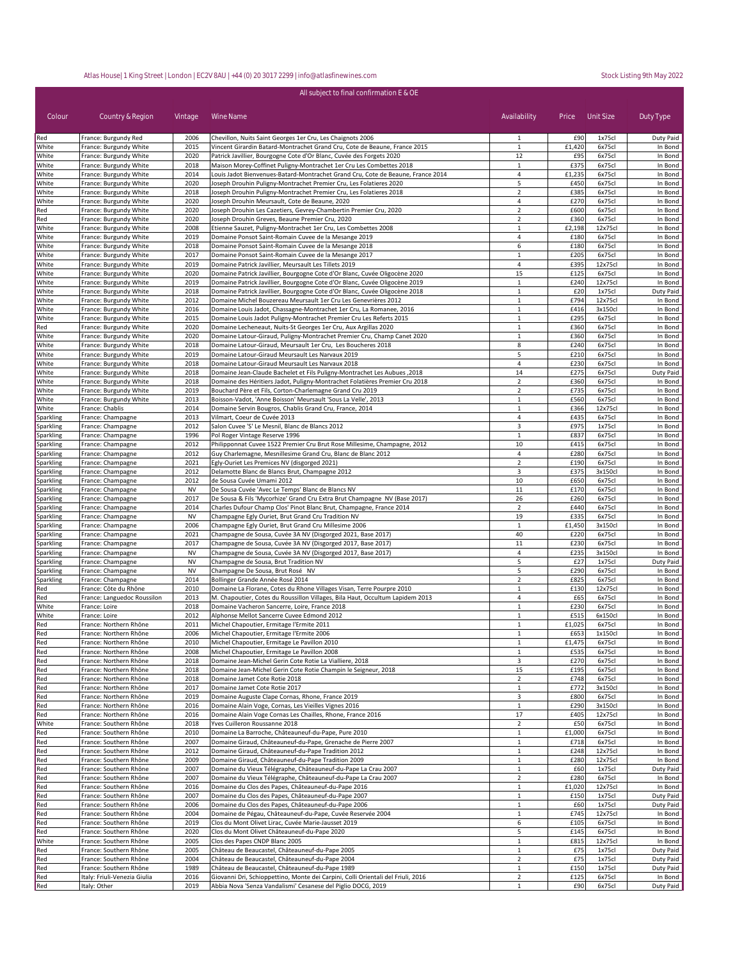| Colour                 | Country & Region                                       | Vintage           | Wine Name                                                                                                                                              | Availability                     | Price          | Unit Size          | Duty Type              |
|------------------------|--------------------------------------------------------|-------------------|--------------------------------------------------------------------------------------------------------------------------------------------------------|----------------------------------|----------------|--------------------|------------------------|
| Red                    | France: Burgundy Red                                   | 2006              | Chevillon, Nuits Saint Georges 1er Cru, Les Chaignots 2006                                                                                             | 1                                | £90            | 1x75cl             | Duty Paid              |
| White                  | France: Burgundy White                                 | 2015              | Vincent Girardin Batard-Montrachet Grand Cru, Cote de Beaune, France 2015                                                                              | $\mathbf{1}$                     | £1,420         | 6x75cl             | In Bond                |
| White                  | France: Burgundy White                                 | 2020              | Patrick Javillier, Bourgogne Cote d'Or Blanc, Cuvée des Forgets 2020                                                                                   | 12<br>$\mathbf{1}$               | £95<br>£375    | 6x75cl             | In Bond                |
| White<br>White         | France: Burgundy White<br>France: Burgundy White       | 2018<br>2014      | Maison Morey-Coffinet Puligny-Montrachet 1er Cru Les Combettes 2018<br>Louis Jadot Bienvenues-Batard-Montrachet Grand Cru, Cote de Beaune, France 2014 | $\overline{4}$                   | £1,235         | 6x75cl<br>6x75cl   | In Bond<br>In Bond     |
| White                  | France: Burgundy White                                 | 2020              | Joseph Drouhin Puligny-Montrachet Premier Cru, Les Folatieres 2020                                                                                     | 5                                | £450           | 6x75cl             | In Bond                |
| White                  | France: Burgundy White                                 | 2018              | Joseph Drouhin Puligny-Montrachet Premier Cru, Les Folatieres 2018                                                                                     | $\overline{2}$                   | £385           | 6x75cl             | In Bond                |
| White                  | France: Burgundy White                                 | 2020              | Joseph Drouhin Meursault, Cote de Beaune, 2020                                                                                                         | $\overline{4}$                   | £270           | 6x75cl             | In Bond                |
| Red                    | France: Burgundy White                                 | 2020              | Joseph Drouhin Les Cazetiers, Gevrey-Chambertin Premier Cru, 2020                                                                                      | $\overline{2}$                   | £600           | 6x75cl             | In Bond                |
| Red                    | France: Burgundy White                                 | 2020              | Joseph Drouhin Greves, Beaune Premier Cru, 2020                                                                                                        | $\overline{2}$                   | £360           | 6x75cl             | In Bond                |
| White<br>White         | France: Burgundy White<br>France: Burgundy White       | 2008<br>2019      | Etienne Sauzet, Puligny-Montrachet 1er Cru, Les Combettes 2008<br>Domaine Ponsot Saint-Romain Cuvee de la Mesange 2019                                 | $\mathbf{1}$<br>4                | £2,198<br>£180 | 12x75cl<br>6x75cl  | In Bond<br>In Bond     |
| White                  | France: Burgundy White                                 | 2018              | Domaine Ponsot Saint-Romain Cuvee de la Mesange 2018                                                                                                   | 6                                | £180           | 6x75cl             | In Bond                |
| White                  | France: Burgundy White                                 | 2017              | Domaine Ponsot Saint-Romain Cuvee de la Mesange 2017                                                                                                   | $\mathbf{1}$                     | £205           | 6x75cl             | In Bond                |
| White                  | France: Burgundy White                                 | 2019              | Domaine Patrick Javillier, Meursault Les Tillets 2019                                                                                                  | 4                                | £395           | 12x75cl            | In Bond                |
| White                  | France: Burgundy White                                 | 2020              | Domaine Patrick Javillier, Bourgogne Cote d'Or Blanc, Cuvée Oligocène 2020                                                                             | 15                               | £125           | 6x75cl             | In Bond                |
| White                  | France: Burgundy White                                 | 2019              | Domaine Patrick Javillier, Bourgogne Cote d'Or Blanc, Cuvée Oligocène 2019                                                                             | $\mathbf{1}$                     | £240           | 12x75cl            | In Bond                |
| White                  | France: Burgundy White                                 | 2018              | Domaine Patrick Javillier, Bourgogne Cote d'Or Blanc, Cuvée Oligocène 2018                                                                             | $\mathbf{1}$                     | £20            | 1x75cl             | Duty Paid              |
| White<br>White         | France: Burgundy White<br>France: Burgundy White       | 2012<br>2016      | Domaine Michel Bouzereau Meursault 1er Cru Les Genevrières 2012<br>Domaine Louis Jadot, Chassagne-Montrachet 1er Cru, La Romanee, 2016                 | $\mathbf{1}$<br>$\mathbf{1}$     | £794<br>£416   | 12x75cl<br>3x150cl | In Bond<br>In Bond     |
| White                  | France: Burgundy White                                 | 2015              | Domaine Louis Jadot Puligny-Montrachet Premier Cru Les Referts 2015                                                                                    | $\mathbf{1}$                     | £295           | 6x75cl             | In Bond                |
| Red                    | France: Burgundy White                                 | 2020              | Domaine Lecheneaut, Nuits-St Georges 1er Cru, Aux Argillas 2020                                                                                        | $\mathbf{1}$                     | £360           | 6x75cl             | In Bond                |
| White                  | France: Burgundy White                                 | 2020              | Domaine Latour-Giraud, Puligny-Montrachet Premier Cru, Champ Canet 2020                                                                                | $\mathbf 1$                      | £360           | 6x75cl             | In Bond                |
| White                  | France: Burgundy White                                 | 2018              | Domaine Latour-Giraud, Meursault 1er Cru, Les Boucheres 2018                                                                                           | 8                                | £240           | 6x75cl             | In Bond                |
| White                  | France: Burgundy White                                 | 2019              | Domaine Latour-Giraud Meursault Les Narvaux 2019                                                                                                       | 5                                | £210           | 6x75cl             | In Bond                |
| White                  | France: Burgundy White                                 | 2018              | Domaine Latour-Giraud Meursault Les Narvaux 2018                                                                                                       | 4                                | £230           | 6x75cl             | In Bond                |
| White                  | France: Burgundy White                                 | 2018              | Domaine Jean-Claude Bachelet et Fils Puligny-Montrachet Les Aubues, 2018                                                                               | 14                               | £275           | 6x75cl             | Duty Paid              |
| White<br>White         | France: Burgundy White<br>France: Burgundy White       | 2018<br>2019      | Domaine des Héritiers Jadot, Puligny-Montrachet Folatières Premier Cru 2018<br>Bouchard Père et Fils, Corton-Charlemagne Grand Cru 2019                | $\overline{2}$<br>$\overline{2}$ | £360<br>£735   | 6x75cl<br>6x75cl   | In Bond<br>In Bond     |
| White                  | France: Burgundy White                                 | 2013              | Boisson-Vadot, 'Anne Boisson' Meursault 'Sous La Velle', 2013                                                                                          | 1                                | £560           | 6x75cl             | In Bond                |
| White                  | France: Chablis                                        | 2014              | Domaine Servin Bougros, Chablis Grand Cru, France, 2014                                                                                                | $\mathbf{1}$                     | £366           | 12x75cl            | In Bond                |
| Sparkling              | France: Champagne                                      | 2013              | Vilmart, Coeur de Cuvée 2013                                                                                                                           | 4                                | £435           | 6x75cl             | In Bond                |
| Sparkling              | France: Champagne                                      | 2012              | Salon Cuvee 'S' Le Mesnil, Blanc de Blancs 2012                                                                                                        | 3                                | £975           | 1x75cl             | In Bond                |
| Sparkling              | France: Champagne                                      | 1996              | Pol Roger Vintage Reserve 1996                                                                                                                         | $\mathbf{1}$                     | £837           | 6x75cl             | In Bond                |
| Sparkling              | France: Champagne                                      | 2012              | Philipponnat Cuvee 1522 Premier Cru Brut Rose Millesime, Champagne, 2012                                                                               | 10                               | £415           | 6x75cl             | In Bond                |
| Sparkling              | France: Champagne                                      | 2012              | Guy Charlemagne, Mesnillesime Grand Cru, Blanc de Blanc 2012                                                                                           | $\overline{4}$                   | £280           | 6x75cl             | In Bond                |
| Sparkling              | France: Champagne                                      | 2021<br>2012      | Egly-Ouriet Les Premices NV (disgorged 2021)<br>Delamotte Blanc de Blancs Brut, Champagne 2012                                                         | $\overline{2}$<br>3              | £190<br>£375   | 6x75cl<br>3x150cl  | In Bond<br>In Bond     |
| Sparkling<br>Sparkling | France: Champagne<br>France: Champagne                 | 2012              | de Sousa Cuvée Umami 2012                                                                                                                              | 10                               | £650           | 6x75cl             | In Bond                |
| Sparkling              | France: Champagne                                      | <b>NV</b>         | De Sousa Cuvée 'Avec Le Temps' Blanc de Blancs NV                                                                                                      | 11                               | £170           | 6x75cl             | In Bond                |
| Sparkling              | France: Champagne                                      | 2017              | De Sousa & Fils 'Mycorhize' Grand Cru Extra Brut Champagne NV (Base 2017)                                                                              | 26                               | £260           | 6x75cl             | In Bond                |
| Sparkling              | France: Champagne                                      | 2014              | Charles Dufour Champ Clos' Pinot Blanc Brut, Champagne, France 2014                                                                                    | $\overline{2}$                   | £440           | 6x75cl             | In Bond                |
| Sparkling              | France: Champagne                                      | <b>NV</b>         | Champagne Egly Ouriet, Brut Grand Cru Tradition NV                                                                                                     | 19                               | £335           | 6x75cl             | In Bond                |
| Sparkling              | France: Champagne                                      | 2006              | Champagne Egly Ouriet, Brut Grand Cru Millesime 2006                                                                                                   | $\mathbf{1}$                     | £1,450         | 3x150cl            | In Bond                |
| Sparkling              | France: Champagne                                      | 2021              | Champagne de Sousa, Cuvée 3A NV (Disgorged 2021, Base 2017)                                                                                            | 40                               | £220           | 6x75cl             | In Bond                |
| Sparkling<br>Sparkling | France: Champagne<br>France: Champagne                 | 2017<br><b>NV</b> | Champagne de Sousa, Cuvée 3A NV (Disgorged 2017, Base 2017)<br>Champagne de Sousa, Cuvée 3A NV (Disgorged 2017, Base 2017)                             | $11\,$<br>$\overline{4}$         | £230<br>£235   | 6x75cl<br>3x150cl  | In Bond<br>In Bond     |
| Sparkling              | France: Champagne                                      | <b>NV</b>         | Champagne de Sousa, Brut Tradition NV                                                                                                                  | 5                                | £27            | 1x75cl             | Duty Paid              |
| Sparkling              | France: Champagne                                      | <b>NV</b>         | Champagne De Sousa, Brut Rosé NV                                                                                                                       | 5                                | £290           | 6x75cl             | In Bond                |
| Sparkling              | France: Champagne                                      | 2014              | Bollinger Grande Année Rosé 2014                                                                                                                       | $\overline{2}$                   | £825           | 6x75cl             | In Bond                |
| Red                    | France: Côte du Rhône                                  | 2010              | Domaine La Florane, Cotes du Rhone Villages Visan, Terre Pourpre 2010                                                                                  | 1                                | £130           | 12x75cl            | In Bond                |
| Red                    | France: Languedoc Roussilon                            | 2013              | M. Chapoutier, Cotes du Roussillon Villages, Bila Haut, Occultum Lapidem 2013                                                                          | 4                                | £65            | 6x75cl             | In Bond                |
| White                  | France: Loire                                          | 2018              | Domaine Vacheron Sancerre, Loire, France 2018                                                                                                          | 1                                | £230           | 6x75cl             | In Bond                |
| White                  | France: Loire                                          | 2012              | Alphonse Mellot Sancerre Cuvee Edmond 2012                                                                                                             | $\mathbf{1}$                     | £515           | 6x150cl            | In Bond                |
| Red<br>Red             | France: Northern Rhône<br>France: Northern Rhône       | 2011<br>2006      | Michel Chapoutier, Ermitage l'Ermite 2011                                                                                                              | $\mathbf{1}$<br>$\mathbf{1}$     | £1,025<br>£653 | 6x75cl<br>1x150cl  | In Bond<br>In Bond     |
| Red                    | France: Northern Rhöne                                 | 2010              | Michel Chapoutier, Ermitage l'Ermite 2006<br>Michel Chapoutier, Ermitage Le Pavillon 2010                                                              |                                  | £1,475         | 6x75cl             | In Bond                |
| Red                    | France: Northern Rhône                                 | 2008              | Michel Chapoutier, Ermitage Le Pavillon 2008                                                                                                           | $\mathbf 1$                      | £535           | 6x75cl             | In Bond                |
| Red                    | France: Northern Rhône                                 | 2018              | Domaine Jean-Michel Gerin Cote Rotie La Vialliere, 2018                                                                                                | 3                                | £270           | 6x75cl             | In Bond                |
| Red                    | France: Northern Rhône                                 | 2018              | Domaine Jean-Michel Gerin Cote Rotie Champin le Seigneur, 2018                                                                                         | 15                               | £195           | 6x75cl             | In Bond                |
| Red                    | France: Northern Rhône                                 | 2018              | Domaine Jamet Cote Rotie 2018                                                                                                                          | $\overline{2}$                   | £748           | 6x75cl             | In Bond                |
| Red                    | France: Northern Rhône                                 | 2017              | Domaine Jamet Cote Rotie 2017                                                                                                                          | $\mathbf{1}$                     | £772           | 3x150cl            | In Bond                |
| Red                    | France: Northern Rhône                                 | 2019              | Domaine Auguste Clape Cornas, Rhone, France 2019                                                                                                       | 3                                | £800           | 6x75cl             | In Bond                |
| Red<br>Red             | France: Northern Rhône<br>France: Northern Rhône       | 2016<br>2016      | Domaine Alain Voge, Cornas, Les Vieilles Vignes 2016<br>Domaine Alain Voge Cornas Les Chailles, Rhone, France 2016                                     | $\mathbf{1}$<br>17               | £290<br>£405   | 3x150cl<br>12x75cl | In Bond<br>In Bond     |
| White                  | France: Southern Rhône                                 | 2018              | Yves Cuilleron Roussanne 2018                                                                                                                          | $\overline{2}$                   | £50            | 6x75cl             | In Bond                |
| Red                    | France: Southern Rhône                                 | 2010              | Domaine La Barroche, Châteauneuf-du-Pape, Pure 2010                                                                                                    | $\mathbf{1}$                     | £1,000         | 6x75cl             | In Bond                |
| Red                    | France: Southern Rhône                                 | 2007              | Domaine Giraud, Châteauneuf-du-Pape, Grenache de Pierre 2007                                                                                           | $\mathbf{1}$                     | £718           | 6x75cl             | In Bond                |
| Red                    | France: Southern Rhône                                 | 2012              | Domaine Giraud, Châteauneuf-du-Pape Tradition 2012                                                                                                     | $\mathbf{1}$                     | £248           | 12x75cl            | In Bond                |
| Red                    | France: Southern Rhône                                 | 2009              | Domaine Giraud, Châteauneuf-du-Pape Tradition 2009                                                                                                     | $\mathbf{1}$                     | £280           | 12x75cl            | In Bond                |
| Red                    | France: Southern Rhône                                 | 2007              | Domaine du Vieux Télégraphe, Châteauneuf-du-Pape La Crau 2007                                                                                          | $1\,$                            | £60            | 1x75cl             | Duty Paid              |
| Red                    | France: Southern Rhône                                 | 2007              | Domaine du Vieux Télégraphe, Châteauneuf-du-Pape La Crau 2007                                                                                          | $\overline{2}$                   | £280           | 6x75cl             | In Bond                |
| Red                    | France: Southern Rhône                                 | 2016              | Domaine du Clos des Papes, Châteauneuf-du-Pape 2016                                                                                                    | $\mathbf{1}$                     | £1,020         | 12x75cl            | In Bond                |
| Red<br>Red             | France: Southern Rhône<br>France: Southern Rhône       | 2007<br>2006      | Domaine du Clos des Papes, Châteauneuf-du-Pape 2007<br>Domaine du Clos des Papes, Châteauneuf-du-Pape 2006                                             | $\mathbf{1}$<br>$\mathbf{1}$     | £150<br>£60    | 1x75cl<br>1x75cl   | Duty Paid<br>Duty Paid |
| Red                    | France: Southern Rhône                                 | 2004              | Domaine de Pégau, Châteauneuf-du-Pape, Cuvée Reservée 2004                                                                                             | $\mathbf{1}$                     | £745           | 12x75cl            | In Bond                |
| Red                    | France: Southern Rhône                                 | 2019              | Clos du Mont Olivet Lirac, Cuvée Marie-Jausset 2019                                                                                                    | 6                                | £105           | 6x75cl             | In Bond                |
| Red                    | France: Southern Rhône                                 | 2020              | Clos du Mont Olivet Châteauneuf-du-Pape 2020                                                                                                           | 5                                | £145           | 6x75cl             | In Bond                |
| White                  | France: Southern Rhône                                 | 2005              | Clos des Papes CNDP Blanc 2005                                                                                                                         | $\mathbf{1}$                     | £815           | 12x75cl            | In Bond                |
| Red                    | France: Southern Rhône                                 | 2005              | Château de Beaucastel, Châteauneuf-du-Pape 2005                                                                                                        | $\mathbf{1}$                     | £75            | 1x75cl             | Duty Paid              |
| Red                    | France: Southern Rhône                                 | 2004              | Château de Beaucastel, Châteauneuf-du-Pape 2004                                                                                                        | $\mathbf 2$                      | £75            | 1x75cl             | Duty Paid              |
| Red                    | France: Southern Rhône<br>Italy: Friuli-Venezia Giulia | 1989<br>2016      | Château de Beaucastel, Châteauneuf-du-Pape 1989<br>Giovanni Dri, Schioppettino, Monte dei Carpini, Colli Orientali del Friuli, 2016                    | $\mathbf{1}$<br>$\overline{2}$   | £150<br>£125   | 1x75cl<br>6x75cl   | Duty Paid<br>In Bond   |
| Red<br>Red             | Italy: Other                                           | 2019              | Abbia Nova 'Senza Vandalismi' Cesanese del Piglio DOCG, 2019                                                                                           | $\mathbf{1}$                     | £90            | 6x75cl             | Duty Paid              |

All subject to final confirmation E & OE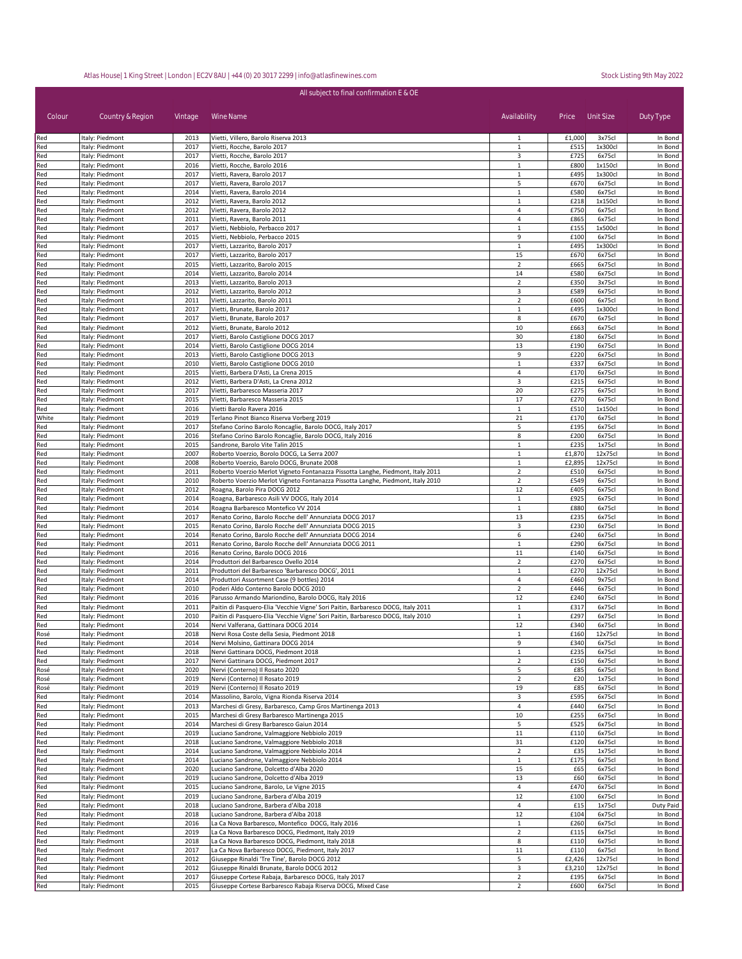| All subject to final confirmation E & OE |                                    |              |                                                                                                                                         |                                |                |                   |                    |  |
|------------------------------------------|------------------------------------|--------------|-----------------------------------------------------------------------------------------------------------------------------------------|--------------------------------|----------------|-------------------|--------------------|--|
| Colour                                   | Country & Region                   | Vintage      | Wine Name                                                                                                                               | Availability                   | Price          | Unit Size         | Duty Type          |  |
| Red                                      | Italy: Piedmont                    | 2013         | Vietti, Villero, Barolo Riserva 2013                                                                                                    | 1                              | £1,000         | 3x75cl            | In Bond            |  |
| Red<br>Red                               | Italy: Piedmont<br>Italy: Piedmont | 2017<br>2017 | Vietti, Rocche, Barolo 2017<br>Vietti, Rocche, Barolo 2017                                                                              | $\mathbf{1}$<br>3              | £515<br>£725   | 1x300cl<br>6x75cl | In Bond<br>In Bond |  |
| Red                                      | Italy: Piedmont                    | 2016         | Vietti, Rocche, Barolo 2016                                                                                                             | $\mathbf{1}$                   | £800           | 1x150cl           | In Bond            |  |
| Red                                      | Italy: Piedmont                    | 2017         | Vietti, Ravera, Barolo 2017                                                                                                             | $\mathbf{1}$                   | £495           | 1x300cl           | In Bond            |  |
| Red                                      | Italy: Piedmont                    | 2017         | Vietti, Ravera, Barolo 2017                                                                                                             | 5                              | £670           | 6x75cl            | In Bond            |  |
| Red                                      | Italy: Piedmont                    | 2014         | Vietti, Ravera, Barolo 2014                                                                                                             | $\mathbf{1}$                   | £580           | 6x75cl            | In Bond            |  |
| Red                                      | Italy: Piedmont                    | 2012         | Vietti, Ravera, Barolo 2012                                                                                                             | 1                              | £218           | 1x150cl           | In Bond            |  |
| Red                                      | Italy: Piedmont                    | 2012         | Vietti, Ravera, Barolo 2012                                                                                                             | $\overline{4}$                 | £750           | 6x75cl            | In Bond            |  |
| Red<br>Red                               | Italy: Piedmont<br>Italy: Piedmont | 2011<br>2017 | Vietti, Ravera, Barolo 2011<br>Vietti, Nebbiolo, Perbacco 2017                                                                          | 4<br>$\mathbf{1}$              | £865<br>£155   | 6x75cl<br>1x500cl | In Bond<br>In Bond |  |
| Red                                      | Italy: Piedmont                    | 2015         | Vietti, Nebbiolo, Perbacco 2015                                                                                                         | 9                              | £100           | 6x75cl            | In Bond            |  |
| Red                                      | Italy: Piedmont                    | 2017         | Vietti, Lazzarito, Barolo 2017                                                                                                          | $\mathbf{1}$                   | £495           | 1x300cl           | In Bond            |  |
| Red                                      | Italy: Piedmont                    | 2017         | Vietti, Lazzarito, Barolo 2017                                                                                                          | 15                             | £670           | 6x75cl            | In Bond            |  |
| Red                                      | Italy: Piedmont                    | 2015         | Vietti, Lazzarito, Barolo 2015                                                                                                          | $\overline{2}$                 | £665           | 6x75cl            | In Bond            |  |
| Red                                      | Italy: Piedmont                    | 2014         | Vietti, Lazzarito, Barolo 2014                                                                                                          | 14                             | £580           | 6x75cl            | In Bond            |  |
| Red                                      | Italy: Piedmont                    | 2013         | Vietti, Lazzarito, Barolo 2013                                                                                                          | $\overline{2}$                 | £350           | 3x75cl            | In Bond            |  |
| Red                                      | Italy: Piedmont                    | 2012         | Vietti, Lazzarito, Barolo 2012                                                                                                          | 3<br>$\overline{2}$            | £589           | 6x75cl            | In Bond<br>In Bond |  |
| Red<br>Red                               | Italy: Piedmont<br>Italy: Piedmont | 2011<br>2017 | Vietti, Lazzarito, Barolo 2011<br>Vietti, Brunate, Barolo 2017                                                                          | $\mathbf{1}$                   | £600<br>£495   | 6x75cl<br>1x300cl | In Bond            |  |
| Red                                      | Italy: Piedmont                    | 2017         | Vietti, Brunate, Barolo 2017                                                                                                            | 8                              | £670           | 6x75cl            | In Bond            |  |
| Red                                      | Italy: Piedmont                    | 2012         | Vietti, Brunate, Barolo 2012                                                                                                            | 10                             | £663           | 6x75cl            | In Bond            |  |
| Red                                      | Italy: Piedmont                    | 2017         | Vietti, Barolo Castiglione DOCG 2017                                                                                                    | 30                             | £180           | 6x75cl            | In Bond            |  |
| Red                                      | Italy: Piedmont                    | 2014         | Vietti, Barolo Castiglione DOCG 2014                                                                                                    | 13                             | £190           | 6x75cl            | In Bond            |  |
| Red                                      | Italy: Piedmont                    | 2013         | Vietti, Barolo Castiglione DOCG 2013                                                                                                    | 9                              | £220           | 6x75cl            | In Bond            |  |
| Red                                      | Italy: Piedmont                    | 2010         | Vietti, Barolo Castiglione DOCG 2010                                                                                                    | $\mathbf{1}$                   | £337           | 6x75cl            | In Bond            |  |
| Red<br>Red                               | Italy: Piedmont<br>Italy: Piedmont | 2015<br>2012 | Vietti, Barbera D'Asti, La Crena 2015<br>Vietti, Barbera D'Asti, La Crena 2012                                                          | 4<br>3                         | £170<br>£215   | 6x75cl<br>6x75cl  | In Bond<br>In Bond |  |
| Red                                      | Italy: Piedmont                    | 2017         | Vietti, Barbaresco Masseria 2017                                                                                                        | 20                             | £275           | 6x75cl            | In Bond            |  |
| Red                                      | Italy: Piedmont                    | 2015         | Vietti, Barbaresco Masseria 2015                                                                                                        | 17                             | £270           | 6x75cl            | In Bond            |  |
| Red                                      | Italy: Piedmont                    | 2016         | Vietti Barolo Ravera 2016                                                                                                               | $\mathbf{1}$                   | £510           | 1x150cl           | In Bond            |  |
| White                                    | Italy: Piedmont                    | 2019         | Terlano Pinot Bianco Riserva Vorberg 2019                                                                                               | 21                             | £170           | 6x75cl            | In Bond            |  |
| Red                                      | Italy: Piedmont                    | 2017         | Stefano Corino Barolo Roncaglie, Barolo DOCG, Italy 2017                                                                                | 5                              | £195           | 6x75cl            | In Bond            |  |
| Red                                      | Italy: Piedmont                    | 2016         | Stefano Corino Barolo Roncaglie, Barolo DOCG, Italy 2016                                                                                | 8                              | £200           | 6x75cl            | In Bond            |  |
| Red                                      | Italy: Piedmont                    | 2015         | Sandrone, Barolo Vite Talin 2015                                                                                                        | $\mathbf{1}$<br>$\mathbf{1}$   | £235<br>£1,870 | 1x75cl<br>12x75cl | In Bond<br>In Bond |  |
| Red<br>Red                               | Italy: Piedmont<br>Italy: Piedmont | 2007<br>2008 | Roberto Voerzio, Borolo DOCG, La Serra 2007<br>Roberto Voerzio, Barolo DOCG, Brunate 2008                                               | $\mathbf{1}$                   | £2,895         | 12x75cl           | In Bond            |  |
| Red                                      | Italy: Piedmont                    | 2011         | Roberto Voerzio Merlot Vigneto Fontanazza Pissotta Langhe, Piedmont, Italy 2011                                                         | $\overline{2}$                 | £510           | 6x75cl            | In Bond            |  |
| Red                                      | Italy: Piedmont                    | 2010         | Roberto Voerzio Merlot Vigneto Fontanazza Pissotta Langhe, Piedmont, Italy 2010                                                         | $\overline{2}$                 | £549           | 6x75cl            | In Bond            |  |
| Red                                      | Italy: Piedmont                    | 2012         | Roagna, Barolo Pira DOCG 2012                                                                                                           | 12                             | £405           | 6x75cl            | In Bond            |  |
| Red                                      | Italy: Piedmont                    | 2014         | Roagna, Barbaresco Asili VV DOCG, Italy 2014                                                                                            | $\mathbf{1}$                   | £925           | 6x75cl            | In Bond            |  |
| Red                                      | Italy: Piedmont                    | 2014         | Roagna Barbaresco Montefico VV 2014                                                                                                     | $\mathbf{1}$                   | £880           | 6x75cl            | In Bond            |  |
| Red                                      | Italy: Piedmont                    | 2017         | Renato Corino, Barolo Rocche dell' Annunziata DOCG 2017                                                                                 | 13                             | £235           | 6x75cl            | In Bond            |  |
| Red<br>Red                               | Italy: Piedmont<br>Italy: Piedmont | 2015<br>2014 | Renato Corino, Barolo Rocche dell' Annunziata DOCG 2015<br>Renato Corino, Barolo Rocche dell' Annunziata DOCG 2014                      | 3<br>6                         | £230<br>£240   | 6x75cl<br>6x75cl  | In Bond<br>In Bond |  |
| Red                                      | Italy: Piedmont                    | 2011         | Renato Corino, Barolo Rocche dell' Annunziata DOCG 2011                                                                                 | $\mathbf{1}$                   | £290           | 6x75cl            | In Bond            |  |
| Red                                      | Italy: Piedmont                    | 2016         | Renato Corino, Barolo DOCG 2016                                                                                                         | 11                             | £140           | 6x75cl            | In Bond            |  |
| Red                                      | Italy: Piedmont                    | 2014         | Produttori del Barbaresco Ovello 2014                                                                                                   | $\overline{2}$                 | £270           | 6x75cl            | In Bond            |  |
| Red                                      | Italy: Piedmont                    | 2011         | Produttori del Barbaresco 'Barbaresco DOCG', 2011                                                                                       | $\mathbf{1}$                   | £270           | 12x75cl           | In Bond            |  |
| Red                                      | Italy: Piedmont                    | 2014         | Produttori Assortment Case (9 bottles) 2014                                                                                             | 4                              | £460           | 9x75cl            | In Bond            |  |
| Red<br>Red                               | Italy: Piedmont                    | 2010<br>2016 | Poderi Aldo Conterno Barolo DOCG 2010                                                                                                   | $\overline{2}$<br>12           | £446<br>£240   | 6x75cl<br>6x75cl  | In Bond<br>In Bond |  |
| Red                                      | Italy: Piedmont<br>Italy: Piedmont | 2011         | Parusso Armando Mariondino, Barolo DOCG, Italy 2016<br>Paitin di Pasquero-Elia 'Vecchie Vigne' Sori Paitin, Barbaresco DOCG, Italy 2011 | $\mathbf{1}$                   | £317           | 6x75cl            | In Bond            |  |
| Red                                      | Italy: Piedmont                    | 2010         | Paitin di Pasquero-Elia 'Vecchie Vigne' Sori Paitin, Barbaresco DOCG, Italy 2010                                                        | $\mathbf{1}$                   | £297           | 6x75cl            | In Bond            |  |
| Red                                      | Italy: Piedmont                    | 2014         | Nervi Valferana, Gattinara DOCG 2014                                                                                                    | 12                             | £340           | 6x75cl            | In Bond            |  |
| Rosé                                     | Italy: Piedmont                    | 2018         | Nervi Rosa Coste della Sesia, Piedmont 2018                                                                                             | $\mathbf{1}$                   | £160           | 12x75cl           | In Bond            |  |
| Red                                      | Italy: Piedmont                    | 2014         | Nervi Molsino, Gattinara DOCG 2014                                                                                                      | 9                              | £340           | 6x75cl            | In Bond            |  |
| Red                                      | Italy: Piedmont                    | 2018         | Nervi Gattinara DOCG, Piedmont 2018                                                                                                     | $\mathbf{1}$                   | £235           | 6x75cl            | In Bond            |  |
| Red                                      | Italy: Piedmont                    | 2017         | Nervi Gattinara DOCG, Piedmont 2017                                                                                                     | $\overline{2}$                 | £150           | 6x75cl            | In Bond            |  |
| Rosé<br>Rosé                             | Italy: Piedmont<br>Italy: Piedmont | 2020<br>2019 | Nervi (Conterno) Il Rosato 2020<br>Nervi (Conterno) Il Rosato 2019                                                                      | 5<br>$\overline{2}$            | £85<br>£20     | 6x75cl<br>1x75cl  | In Bond<br>In Bond |  |
| Rosé                                     | Italy: Piedmont                    | 2019         | Nervi (Conterno) Il Rosato 2019                                                                                                         | 19                             | £85            | 6x75cl            | In Bond            |  |
| Red                                      | Italy: Piedmont                    | 2014         | Massolino, Barolo, Vigna Rionda Riserva 2014                                                                                            | 3                              | £595           | 6x75cl            | In Bond            |  |
| Red                                      | Italy: Piedmont                    | 2013         | Marchesi di Gresy, Barbaresco, Camp Gros Martinenga 2013                                                                                | $\overline{4}$                 | £440           | 6x75cl            | In Bond            |  |
| Red                                      | Italy: Piedmont                    | 2015         | Marchesi di Gresy Barbaresco Martinenga 2015                                                                                            | 10                             | £255           | 6x75cl            | In Bond            |  |
| Red                                      | Italy: Piedmont                    | 2014         | Marchesi di Gresy Barbaresco Gaiun 2014                                                                                                 | 5                              | £525           | 6x75cl            | In Bond            |  |
| Red                                      | Italy: Piedmont                    | 2019         | Luciano Sandrone, Valmaggiore Nebbiolo 2019                                                                                             | 11                             | £110           | 6x75cl            | In Bond            |  |
| Red                                      | Italy: Piedmont                    | 2018         | Luciano Sandrone, Valmaggiore Nebbiolo 2018                                                                                             | 31<br>$\overline{2}$           | £120           | 6x75cl            | In Bond<br>In Bond |  |
| Red<br>Red                               | Italy: Piedmont<br>Italy: Piedmont | 2014<br>2014 | Luciano Sandrone, Valmaggiore Nebbiolo 2014<br>Luciano Sandrone, Valmaggiore Nebbiolo 2014                                              | $\mathbf{1}$                   | £35<br>£175    | 1x75cl<br>6x75cl  | In Bond            |  |
| Red                                      | Italy: Piedmont                    | 2020         | Luciano Sandrone, Dolcetto d'Alba 2020                                                                                                  | 15                             | £65            | 6x75cl            | In Bond            |  |
| Red                                      | Italy: Piedmont                    | 2019         | Luciano Sandrone, Dolcetto d'Alba 2019                                                                                                  | 13                             | £60            | 6x75cl            | In Bond            |  |
| Red                                      | Italy: Piedmont                    | 2015         | Luciano Sandrone, Barolo, Le Vigne 2015                                                                                                 | 4                              | £470           | 6x75cl            | In Bond            |  |
| Red                                      | Italy: Piedmont                    | 2019         | Luciano Sandrone, Barbera d'Alba 2019                                                                                                   | 12                             | £100           | 6x75cl            | In Bond            |  |
| Red                                      | Italy: Piedmont                    | 2018         | Luciano Sandrone, Barbera d'Alba 2018                                                                                                   | $\overline{4}$                 | £15            | 1x75cl            | Duty Paid          |  |
| Red                                      | Italy: Piedmont                    | 2018         | Luciano Sandrone, Barbera d'Alba 2018                                                                                                   | 12                             | £104           | 6x75cl            | In Bond            |  |
| Red                                      | Italy: Piedmont                    | 2016         | La Ca Nova Barbaresco, Montefico DOCG, Italy 2016                                                                                       | $\mathbf{1}$<br>$\overline{2}$ | £260           | 6x75cl            | In Bond            |  |
| Red<br>Red                               | Italy: Piedmont<br>Italy: Piedmont | 2019<br>2018 | La Ca Nova Barbaresco DOCG, Piedmont, Italy 2019<br>La Ca Nova Barbaresco DOCG, Piedmont, Italy 2018                                    | 8                              | £115<br>£110   | 6x75cl<br>6x75cl  | In Bond<br>In Bond |  |
| Red                                      | Italy: Piedmont                    | 2017         | La Ca Nova Barbaresco DOCG, Piedmont, Italy 2017                                                                                        | 11                             | £110           | 6x75cl            | In Bond            |  |
| Red                                      | Italy: Piedmont                    | 2012         | Giuseppe Rinaldi 'Tre Tine', Barolo DOCG 2012                                                                                           | 5                              | £2,426         | 12x75cl           | In Bond            |  |
| Red                                      | Italy: Piedmont                    | 2012         | Giuseppe Rinaldi Brunate, Barolo DOCG 2012                                                                                              | 3                              | £3,210         | 12x75cl           | In Bond            |  |
| Red                                      | Italy: Piedmont                    | 2017         | Giuseppe Cortese Rabaja, Barbaresco DOCG, Italy 2017                                                                                    | $\overline{2}$                 | £195           | 6x75cl            | In Bond            |  |
| Red                                      | Italy: Piedmont                    | 2015         | Giuseppe Cortese Barbaresco Rabaja Riserva DOCG, Mixed Case                                                                             | $\overline{2}$                 | £600           | 6x75cl            | In Bond            |  |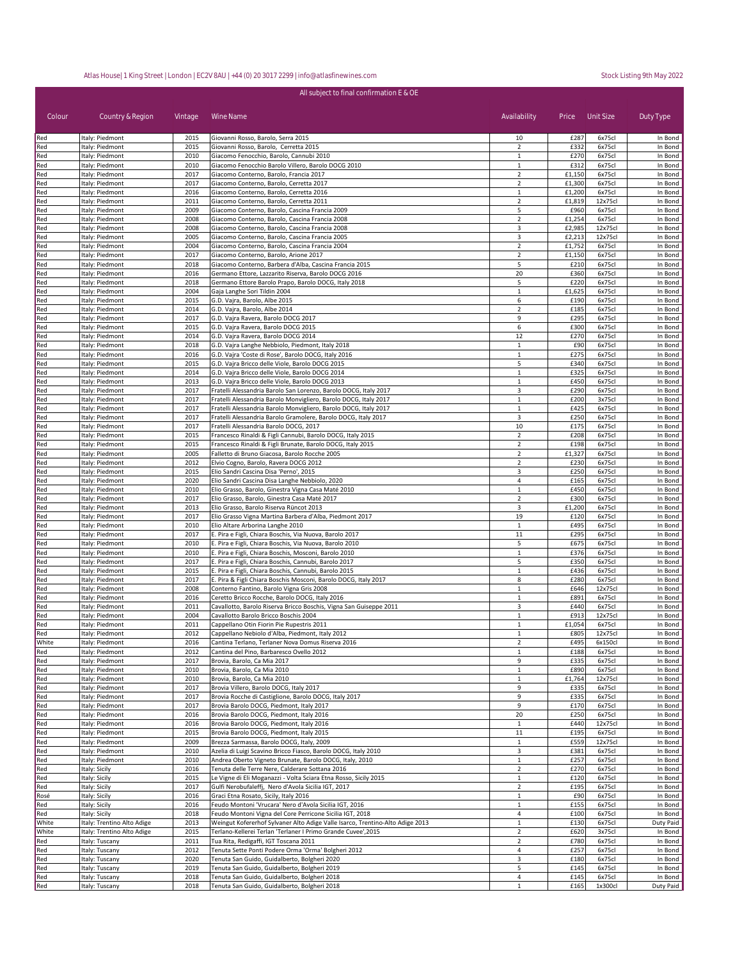| All subject to final confirmation E & OE |                                    |              |                                                                                                                                      |                                |                  |                   |                    |  |
|------------------------------------------|------------------------------------|--------------|--------------------------------------------------------------------------------------------------------------------------------------|--------------------------------|------------------|-------------------|--------------------|--|
| Colour                                   | Country & Region                   | Vintage      | Wine Name                                                                                                                            | Availability                   | Price            | Unit Size         | Duty Type          |  |
| Red                                      | Italy: Piedmont                    | 2015         | Giovanni Rosso, Barolo, Serra 2015                                                                                                   | 10                             | £287             | 6x75cl            | In Bond            |  |
| Red                                      | Italy: Piedmont                    | 2015         | Giovanni Rosso, Barolo, Cerretta 2015                                                                                                | $\overline{2}$                 | £332             | 6x75cl            | In Bond            |  |
| Red                                      | Italy: Piedmont                    | 2010         | Giacomo Fenocchio, Barolo, Cannubi 2010                                                                                              | $\mathbf{1}$                   | £270             | 6x75cl            | In Bond            |  |
| Red                                      | Italy: Piedmont                    | 2010         | Giacomo Fenocchio Barolo Villero, Barolo DOCG 2010                                                                                   | $\mathbf{1}$                   | £312             | 6x75cl            | In Bond            |  |
| Red                                      | Italy: Piedmont                    | 2017         | Giacomo Conterno, Barolo, Francia 2017                                                                                               | $\overline{2}$                 | £1,150           | 6x75cl            | In Bond            |  |
| Red                                      | Italy: Piedmont                    | 2017         | Giacomo Conterno, Barolo, Cerretta 2017                                                                                              | $\overline{2}$                 | £1,300           | 6x75cl            | In Bond            |  |
| Red<br>Red                               | Italy: Piedmont<br>Italy: Piedmont | 2016<br>2011 | Giacomo Conterno, Barolo, Cerretta 2016<br>Giacomo Conterno, Barolo, Cerretta 2011                                                   | $\mathbf{1}$<br>$\overline{2}$ | £1,200<br>£1,819 | 6x75cl<br>12x75cl | In Bond<br>In Bond |  |
| Red                                      | Italy: Piedmont                    | 2009         | Giacomo Conterno, Barolo, Cascina Francia 2009                                                                                       | 5                              | £960             | 6x75cl            | In Bond            |  |
| Red                                      | Italy: Piedmont                    | 2008         | Giacomo Conterno, Barolo, Cascina Francia 2008                                                                                       | $\overline{2}$                 | £1,254           | 6x75cl            | In Bond            |  |
| Red                                      | Italy: Piedmont                    | 2008         | Giacomo Conterno, Barolo, Cascina Francia 2008                                                                                       | 3                              | £2,985           | 12x75cl           | In Bond            |  |
| Red                                      | Italy: Piedmont                    | 2005         | Giacomo Conterno, Barolo, Cascina Francia 2005                                                                                       | 3                              | £2,213           | 12x75cl           | In Bond            |  |
| Red                                      | Italy: Piedmont                    | 2004         | Giacomo Conterno, Barolo, Cascina Francia 2004                                                                                       | $\overline{2}$                 | £1,752           | 6x75cl            | In Bond            |  |
| Red                                      | Italy: Piedmont                    | 2017         | Giacomo Conterno, Barolo, Arione 2017                                                                                                | 2                              | £1,150           | 6x75cl            | In Bond            |  |
| Red                                      | Italy: Piedmont                    | 2018         | Giacomo Conterno, Barbera d'Alba, Cascina Francia 2015                                                                               | 5                              | £210             | 6x75cl            | In Bond            |  |
| Red                                      | Italy: Piedmont                    | 2016         | Germano Ettore, Lazzarito Riserva, Barolo DOCG 2016                                                                                  | 20                             | £360             | 6x75cl            | In Bond            |  |
| Red                                      | Italy: Piedmont                    | 2018         | Germano Ettore Barolo Prapo, Barolo DOCG, Italy 2018                                                                                 | 5                              | £220             | 6x75cl            | In Bond            |  |
| Red                                      | Italy: Piedmont                    | 2004         | Gaja Langhe Sori Tildin 2004                                                                                                         | $\mathbf{1}$                   | £1,625           | 6x75cl            | In Bond            |  |
| Red                                      | Italy: Piedmont                    | 2015         | G.D. Vajra, Barolo, Albe 2015                                                                                                        | 6                              | £190             | 6x75cl            | In Bond            |  |
| Red                                      | Italy: Piedmont                    | 2014         | G.D. Vajra, Barolo, Albe 2014                                                                                                        | $\overline{2}$                 | £185             | 6x75cl            | In Bond            |  |
| Red                                      | Italy: Piedmont                    | 2017         | G.D. Vajra Ravera, Barolo DOCG 2017                                                                                                  | 9                              | £295             | 6x75cl            | In Bond            |  |
| Red                                      | Italy: Piedmont                    | 2015         | G.D. Vajra Ravera, Barolo DOCG 2015                                                                                                  | 6                              | £300             | 6x75cl            | In Bond            |  |
| Red                                      | Italy: Piedmont                    | 2014         | G.D. Vajra Ravera, Barolo DOCG 2014                                                                                                  | 12                             | £270             | 6x75cl            | In Bond            |  |
| Red                                      | Italy: Piedmont                    | 2018         | G.D. Vajra Langhe Nebbiolo, Piedmont, Italy 2018                                                                                     | $\mathbf{1}$                   | £90              | 6x75cl            | In Bond            |  |
| Red                                      | Italy: Piedmont                    | 2016         | G.D. Vajra 'Coste di Rose', Barolo DOCG, Italy 2016                                                                                  | $\mathbf{1}$                   | £275             | 6x75cl            | In Bond            |  |
| Red                                      | Italy: Piedmont                    | 2015         | G.D. Vajra Bricco delle Viole, Barolo DOCG 2015                                                                                      | 5                              | £340             | 6x75cl            | In Bond            |  |
| Red                                      | Italy: Piedmont                    | 2014         | G.D. Vajra Bricco delle Viole, Barolo DOCG 2014                                                                                      | $\mathbf{1}$                   | £325             | 6x75cl            | In Bond            |  |
| Red                                      | Italy: Piedmont                    | 2013         | G.D. Vajra Bricco delle Viole, Barolo DOCG 2013                                                                                      | $\mathbf{1}$                   | £450             | 6x75cl            | In Bond            |  |
| Red                                      | Italy: Piedmont                    | 2017<br>2017 | Fratelli Alessandria Barolo San Lorenzo, Barolo DOCG, Italy 2017<br>Fratelli Alessandria Barolo Monvigliero, Barolo DOCG, Italy 2017 | 3<br>$\mathbf{1}$              | £290<br>£200     | 6x75cl<br>3x75cl  | In Bond<br>In Bond |  |
| Red<br>Red                               | Italy: Piedmont<br>Italy: Piedmont | 2017         | Fratelli Alessandria Barolo Monvigliero, Barolo DOCG, Italy 2017                                                                     | $\mathbf{1}$                   | £425             | 6x75cl            | In Bond            |  |
| Red                                      | Italy: Piedmont                    | 2017         | Fratelli Alessandria Barolo Gramolere, Barolo DOCG, Italy 2017                                                                       | 3                              | £250             | 6x75cl            | In Bond            |  |
| Red                                      | Italy: Piedmont                    | 2017         | Fratelli Alessandria Barolo DOCG, 2017                                                                                               | 10                             | £175             | 6x75cl            | In Bond            |  |
| Red                                      | Italy: Piedmont                    | 2015         | Francesco Rinaldi & Figli Cannubi, Barolo DOCG, Italy 2015                                                                           | $\overline{2}$                 | £208             | 6x75cl            | In Bond            |  |
| Red                                      | Italy: Piedmont                    | 2015         | Francesco Rinaldi & Figli Brunate, Barolo DOCG, Italy 2015                                                                           | $\overline{2}$                 | £198             | 6x75cl            | In Bond            |  |
| Red                                      | Italy: Piedmont                    | 2005         | Falletto di Bruno Giacosa, Barolo Rocche 2005                                                                                        | $\overline{2}$                 | £1,327           | 6x75cl            | In Bond            |  |
| Red                                      | Italy: Piedmont                    | 2012         | Elvio Cogno, Barolo, Ravera DOCG 2012                                                                                                | $\overline{2}$                 | £230             | 6x75cl            | In Bond            |  |
| Red                                      | Italy: Piedmont                    | 2015         | Elio Sandri Cascina Disa 'Perno', 2015                                                                                               | 3                              | £250             | 6x75cl            | In Bond            |  |
| Red                                      | Italy: Piedmont                    | 2020         | Elio Sandri Cascina Disa Langhe Nebbiolo, 2020                                                                                       | 4                              | £165             | 6x75cl            | In Bond            |  |
| Red                                      | Italy: Piedmont                    | 2010         | Elio Grasso, Barolo, Ginestra Vigna Casa Maté 2010                                                                                   | $\mathbf{1}$                   | £450             | 6x75cl            | In Bond            |  |
| Red                                      | Italy: Piedmont                    | 2017         | Elio Grasso, Barolo, Ginestra Casa Maté 2017                                                                                         | $\overline{2}$                 | £300             | 6x75cl            | In Bond            |  |
| Red                                      | Italy: Piedmont                    | 2013         | Elio Grasso, Barolo Riserva Rüncot 2013                                                                                              | 3                              | £1,200           | 6x75cl            | In Bond            |  |
| Red                                      | Italy: Piedmont                    | 2017         | Elio Grasso Vigna Martina Barbera d'Alba, Piedmont 2017                                                                              | 19                             | £120             | 6x75cl            | In Bond            |  |
| Red                                      | Italy: Piedmont                    | 2010         | Elio Altare Arborina Langhe 2010                                                                                                     | $\mathbf{1}$                   | £495             | 6x75cl            | In Bond            |  |
| Red                                      | Italy: Piedmont                    | 2017         | E. Pira e Figli, Chiara Boschis, Via Nuova, Barolo 2017                                                                              | 11                             | £295             | 6x75cl            | In Bond            |  |
| Red                                      | Italy: Piedmont                    | 2010         | E. Pira e Figli, Chiara Boschis, Via Nuova, Barolo 2010                                                                              | 5                              | £675             | 6x75cl            | In Bond            |  |
| Red                                      | Italy: Piedmont                    | 2010         | E. Pira e Figli, Chiara Boschis, Mosconi, Barolo 2010                                                                                | $\mathbf{1}$                   | £376             | 6x75cl            | In Bond            |  |
| Red                                      | Italy: Piedmont                    | 2017         | E. Pira e Figli, Chiara Boschis, Cannubi, Barolo 2017                                                                                | 5                              | £350             | 6x75cl            | In Bond            |  |
| Red                                      | Italy: Piedmont                    | 2015         | E. Pira e Figli, Chiara Boschis, Cannubi, Barolo 2015                                                                                | $\mathbf 1$                    | £436             | 6x75cl            | In Bond            |  |
| Red                                      | Italy: Piedmont                    | 2017         | E. Pira & Figli Chiara Boschis Mosconi, Barolo DOCG, Italy 2017                                                                      | 8<br>$\mathbf{1}$              | £280<br>£646     | 6x75cl<br>12x75cl | In Bond<br>In Bond |  |
| Red                                      | Italy: Piedmont<br>Italy: Piedmont | 2008<br>2016 | Conterno Fantino, Barolo Vigna Gris 2008<br>Ceretto Bricco Rocche, Barolo DOCG, Italy 2016                                           | $\mathbf{1}$                   | £891             | 6x75cl            | In Bond            |  |
| Red<br>Red                               | Italy: Piedmont                    | 2011         | Cavallotto, Barolo Riserva Bricco Boschis, Vigna San Guiseppe 2011                                                                   | 3                              | £440             | 6x75cl            | In Bond            |  |
| Red                                      | Italy: Piedmont                    | 2004         | Cavallotto Barolo Bricco Boschis 2004                                                                                                | $\mathbf{1}$                   | £913             | 12x75cl           | In Bond            |  |
| Red                                      | Italy: Piedmont                    | 2011         | Cappellano Otin Fiorin Pie Rupestris 2011                                                                                            | $\mathbf{1}$                   | £1,054           | 6x75cl            | In Bond            |  |
| Red                                      | Italy: Piedmont                    | 2012         | Cappellano Nebiolo d'Alba, Piedmont, Italy 2012                                                                                      | $\mathbf{1}$                   | £805             | 12x75cl           | In Bond            |  |
| White                                    | Italy: Piedmont                    | 2016         | Cantina Terlano, Terlaner Nova Domus Riserva 2016                                                                                    | $\overline{2}$                 | £495             | 6x150cl           | In Bond            |  |
| Red                                      | Italy: Piedmont                    | 2012         | Cantina del Pino, Barbaresco Ovello 2012                                                                                             | $\mathbf{1}$                   | £188             | 6x75cl            | In Bond            |  |
| Red                                      | Italy: Piedmont                    | 2017         | Brovia, Barolo, Ca Mia 2017                                                                                                          | 9                              | £335             | 6x75cl            | In Bond            |  |
| Red                                      | Italy: Piedmont                    | 2010         | Brovia, Barolo, Ca Mia 2010                                                                                                          | $\mathbf{1}$                   | £890             | 6x75cl            | In Bond            |  |
| Red                                      | Italy: Piedmont                    | 2010         | Brovia, Barolo, Ca Mia 2010                                                                                                          | $\mathbf{1}$                   | £1,764           | 12x75cl           | In Bond            |  |
| Red                                      | Italy: Piedmont                    | 2017         | Brovia Villero, Barolo DOCG, Italy 2017                                                                                              | 9                              | £335             | 6x75cl            | In Bond            |  |
| Red                                      | Italy: Piedmont                    | 2017         | Brovia Rocche di Castiglione, Barolo DOCG, Italy 2017                                                                                | 9                              | £335             | 6x75cl            | In Bond            |  |
| Red                                      | Italy: Piedmont                    | 2017         | Brovia Barolo DOCG, Piedmont, Italy 2017                                                                                             | 9                              | £170             | 6x75cl            | In Bond            |  |
| Red                                      | Italy: Piedmont                    | 2016         | Brovia Barolo DOCG, Piedmont, Italy 2016                                                                                             | 20                             | £250             | 6x75cl            | In Bond            |  |
| Red                                      | Italy: Piedmont                    | 2016         | Brovia Barolo DOCG, Piedmont, Italy 2016                                                                                             | 1                              | £440             | 12x75cl           | In Bond            |  |
| Red                                      | Italy: Piedmont                    | 2015         | Brovia Barolo DOCG, Piedmont, Italy 2015                                                                                             | 11                             | £195             | 6x75cl            | In Bond            |  |
| Red                                      | Italy: Piedmont                    | 2009         | Brezza Sarmassa, Barolo DOCG, Italy, 2009                                                                                            | $\mathbf{1}$                   | £559             | 12x75cl           | In Bond            |  |
| Red                                      | Italy: Piedmont                    | 2010         | Azelia di Luigi Scavino Bricco Fiasco, Barolo DOCG, Italy 2010                                                                       | 3                              | £381             | 6x75cl            | In Bond            |  |
| Red                                      | Italy: Piedmont                    | 2010         | Andrea Oberto Vigneto Brunate, Barolo DOCG, Italy, 2010                                                                              | $\mathbf{1}$                   | £257             | 6x75cl            | In Bond            |  |
| Red                                      | Italy: Sicily                      | 2016         | Tenuta delle Terre Nere, Calderare Sottana 2016                                                                                      | $\overline{2}$                 | £270             | 6x75cl            | In Bond            |  |
| Red                                      | Italy: Sicily                      | 2015         | Le Vigne di Eli Moganazzi - Volta Sciara Etna Rosso, Sicily 2015                                                                     | $\mathbf{1}$                   | £120<br>£195     | 6x75cl            | In Bond            |  |
| Red<br>Rosé                              | Italy: Sicily                      | 2017<br>2016 | Gulfi Nerobufaleffj, Nero d'Avola Sicilia IGT, 2017                                                                                  | $\overline{2}$<br>$\mathbf{1}$ | £90              | 6x75cl<br>6x75cl  | In Bond<br>In Bond |  |
| Red                                      | Italy: Sicily<br>Italy: Sicily     | 2016         | Graci Etna Rosato, Sicily, Italy 2016<br>Feudo Montoni 'Vrucara' Nero d'Avola Sicilia IGT, 2016                                      | $\mathbf{1}$                   | £155             | 6x75cl            | In Bond            |  |
| Red                                      | Italy: Sicily                      | 2018         | Feudo Montoni Vigna del Core Perricone Sicilia IGT, 2018                                                                             | $\overline{4}$                 | £100             | 6x75cl            | In Bond            |  |
| White                                    | Italy: Trentino Alto Adige         | 2013         | Weingut Kofererhof Sylvaner Alto Adige Valle Isarco, Trentino-Alto Adige 2013                                                        | $\mathbf{1}$                   | £130             | 6x75cl            | Duty Paid          |  |
| White                                    | Italy: Trentino Alto Adige         | 2015         | Terlano-Kellerei Terlan 'Terlaner I Primo Grande Cuvee',2015                                                                         | $\overline{2}$                 | £620             | 3x75cl            | In Bond            |  |
| Red                                      | Italy: Tuscany                     | 2011         | Tua Rita, Redigaffi, IGT Toscana 2011                                                                                                | $\overline{2}$                 | £780             | 6x75cl            | In Bond            |  |
| Red                                      | Italy: Tuscany                     | 2012         | Tenuta Sette Ponti Podere Orma 'Orma' Bolgheri 2012                                                                                  | $\overline{4}$                 | £257             | 6x75cl            | In Bond            |  |
| Red                                      | Italy: Tuscany                     | 2020         | Tenuta San Guido, Guidalberto, Bolgheri 2020                                                                                         | 3                              | £180             | 6x75cl            | In Bond            |  |
| Red                                      | Italy: Tuscany                     | 2019         | Tenuta San Guido, Guidalberto, Bolgheri 2019                                                                                         | 5                              | £145             | 6x75cl            | In Bond            |  |
| Red                                      | Italy: Tuscany                     | 2018         | Tenuta San Guido, Guidalberto, Bolgheri 2018                                                                                         | 4                              | £145             | 6x75cl            | In Bond            |  |
| Red                                      | Italy: Tuscany                     | 2018         | Tenuta San Guido, Guidalberto, Bolgheri 2018                                                                                         | $\mathbf{1}$                   | £165             | 1x300cl           | Duty Paid          |  |